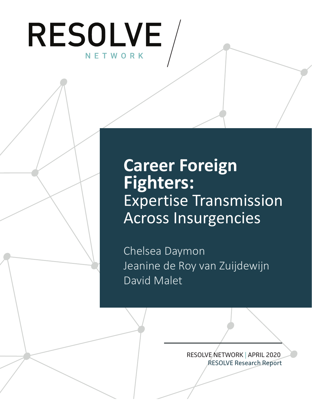

# **Career Foreign Fighters:** Expertise Transmission Across Insurgencies

Chelsea Daymon Jeanine de Roy van Zuijdewijn David Malet

> RESOLVE NETWORK | APRIL 2020 RESOLVE Research Report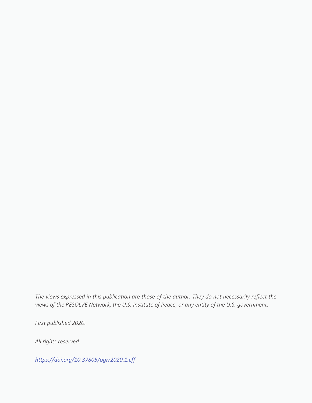*The views expressed in this publication are those of the author. They do not necessarily reflect the views of the RESOLVE Network, the U.S. Institute of Peace, or any entity of the U.S. government.*

*First published 2020.*

*All rights reserved.*

*<https://doi.org/10.37805/ogrr2020.1.cff>*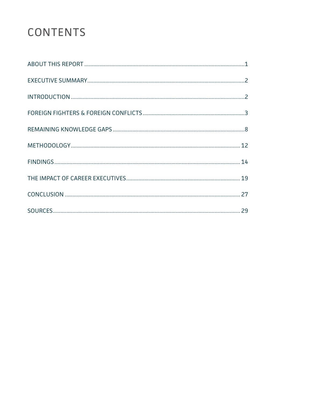# CONTENTS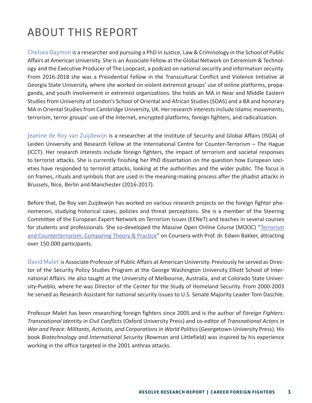# ABOUT THIS REPORT

Chelsea Daymon is a researcher and pursuing a PhD in Justice, Law & Criminology in the School of Public Affairs at American University. She is an Associate Fellow at the Global Network on Extremism & Technology and the Executive Producer of The Loopcast, a podcast on national security and information security. From 2016-2018 she was a Presidential Fellow in the Transcultural Conflict and Violence Initiative at Georgia State University, where she worked on violent extremist groups' use of online platforms, propaganda, and youth involvement in extremist organizations. She holds an MA in Near and Middle Eastern Studies from University of London's School of Oriental and African Studies (SOAS) and a BA and honorary MA in Oriental Studies from Cambridge University, UK. Her research interests include Islamic movements, terrorism, terror groups' use of the Internet, encrypted platforms, foreign fighters, and radicalization.

Jeanine de Roy van Zuijdewijn is a researcher at the Institute of Security and Global Affairs (ISGA) of Leiden University and Research Fellow at the International Centre for Counter-Terrorism – The Hague (ICCT). Her research interests include foreign fighters, the impact of terrorism and societal responses to terrorist attacks. She is currently finishing her PhD dissertation on the question how European societies have responded to terrorist attacks, looking at the authorities and the wider public. The focus is on frames, rituals and symbols that are used in the meaning-making process after the jihadist attacks in Brussels, Nice, Berlin and Manchester (2016-2017).

Before that, De Roy van Zuijdewijn has worked on various research projects on the foreign fighter phenomenon, studying historical cases, policies and threat perceptions. She is a member of the Steering Committee of the European Expert Network on Terrorism Issues (EENeT) and teaches in several courses for students and professionals. She co-developed the Massive Open Online Course (MOOC) "[Terrorism](https://www.coursera.org/learn/terrorism)  [and Counterterrorism: Comparing Theory & Practice"](https://www.coursera.org/learn/terrorism) on Coursera with Prof. dr. Edwin Bakker, attracting over 150.000 participants.

David Malet is Associate Professor of Public Affairs at American University. Previously he served as Director of the Security Policy Studies Program at the George Washington University Elliott School of International Affairs. He also taught at the University of Melbourne, Australia, and at Colorado State University-Pueblo, where he was Director of the Center for the Study of Homeland Security. From 2000-2003 he served as Research Assistant for national security issues to U.S. Senate Majority Leader Tom Daschle.

Professor Malet has been researching foreign fighters since 2005 and is the author of *Foreign Fighters: Transnational Identity in Civil Conflicts* (Oxford University Press) and co-editor of *Transnational Actors in War and Peace: Militants, Activists, and Corporations in World Politics* (Georgetown University Press). His book *Biotechnology and International Security* (Rowman and Littlefield) was inspired by his experience working in the office targeted in the 2001 anthrax attacks.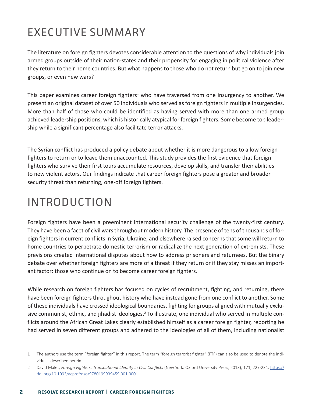# EXECUTIVE SUMMARY

The literature on foreign fighters devotes considerable attention to the questions of why individuals join armed groups outside of their nation-states and their propensity for engaging in political violence after they return to their home countries. But what happens to those who do not return but go on to join new groups, or even new wars?

This paper examines career foreign fighters<sup>1</sup> who have traversed from one insurgency to another. We present an original dataset of over 50 individuals who served as foreign fighters in multiple insurgencies. More than half of those who could be identified as having served with more than one armed group achieved leadership positions, which is historically atypical for foreign fighters. Some become top leadership while a significant percentage also facilitate terror attacks.

The Syrian conflict has produced a policy debate about whether it is more dangerous to allow foreign fighters to return or to leave them unaccounted. This study provides the first evidence that foreign fighters who survive their first tours accumulate resources, develop skills, and transfer their abilities to new violent actors. Our findings indicate that career foreign fighters pose a greater and broader security threat than returning, one-off foreign fighters.

# INTRODUCTION

Foreign fighters have been a preeminent international security challenge of the twenty-first century. They have been a facet of civil wars throughout modern history. The presence of tens of thousands of foreign fighters in current conflicts in Syria, Ukraine, and elsewhere raised concerns that some will return to home countries to perpetrate domestic terrorism or radicalize the next generation of extremists. These previsions created international disputes about how to address prisoners and returnees. But the binary debate over whether foreign fighters are more of a threat if they return or if they stay misses an important factor: those who continue on to become career foreign fighters.

While research on foreign fighters has focused on cycles of recruitment, fighting, and returning, there have been foreign fighters throughout history who have instead gone from one conflict to another. Some of these individuals have crossed ideological boundaries, fighting for groups aligned with mutually exclusive communist, ethnic, and jihadist ideologies.<sup>2</sup> To illustrate, one individual who served in multiple conflicts around the African Great Lakes clearly established himself as a career foreign fighter, reporting he had served in seven different groups and adhered to the ideologies of all of them, including nationalist

<sup>1</sup> The authors use the term "foreign fighter" in this report. The term "foreign terrorist fighter" (FTF) can also be used to denote the individuals described herein.

<sup>2</sup> David Malet, *Foreign Fighters: Transnational Identity in Civil Conflicts* (New York: Oxford University Press, 2013), 171, 227-231. [https://](https://doi.org/10.1093/acprof:oso/9780199939459.001.0001) [doi.org/10.1093/acprof:oso/9780199939459.001.0001.](https://doi.org/10.1093/acprof:oso/9780199939459.001.0001)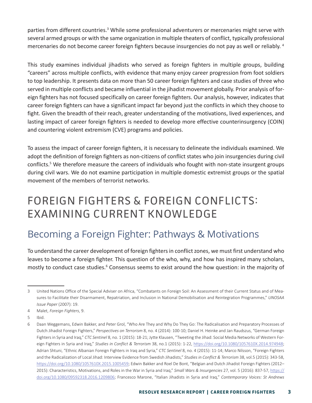parties from different countries.<sup>3</sup> While some professional adventurers or mercenaries might serve with several armed groups or with the same organization in multiple theaters of conflict, typically professional mercenaries do not become career foreign fighters because insurgencies do not pay as well or reliably. <sup>4</sup>

This study examines individual jihadists who served as foreign fighters in multiple groups, building "careers" across multiple conflicts, with evidence that many enjoy career progression from foot soldiers to top leadership. It presents data on more than 50 career foreign fighters and case studies of three who served in multiple conflicts and became influential in the jihadist movement globally. Prior analysis of foreign fighters has not focused specifically on career foreign fighters. Our analysis, however, indicates that career foreign fighters can have a significant impact far beyond just the conflicts in which they choose to fight. Given the breadth of their reach, greater understanding of the motivations, lived experiences, and lasting impact of career foreign fighters is needed to develop more effective counterinsurgency (COIN) and countering violent extremism (CVE) programs and policies.

To assess the impact of career foreign fighters, it is necessary to delineate the individuals examined. We adopt the definition of foreign fighters as non-citizens of conflict states who join insurgencies during civil conflicts.<sup>5</sup> We therefore measure the careers of individuals who fought with non-state insurgent groups during civil wars. We do not examine participation in multiple domestic extremist groups or the spatial movement of the members of terrorist networks.

# FOREIGN FIGHTERS & FOREIGN CONFLICTS: EXAMINING CURRENT KNOWLEDGE

### Becoming a Foreign Fighter: Pathways & Motivations

To understand the career development of foreign fighters in conflict zones, we must first understand who leaves to become a foreign fighter. This question of the who, why, and how has inspired many scholars, mostly to conduct case studies.<sup>6</sup> Consensus seems to exist around the how question: in the majority of

<sup>3</sup> United Nations Office of the Special Adviser on Africa, "Combatants on Foreign Soil: An Assessment of their Current Status and of Measures to Facilitate their Disarmament, Repatriation, and Inclusion in National Demobilisation and Reintegration Programmes," *UNOSAA Issue Paper* (2007): 19.

<sup>4</sup> Malet, *Foreign Fighters*, 9.

<sup>5</sup> Ibid.

<sup>6</sup> Daan Weggemans, Edwin Bakker, and Peter Grol, "Who Are They and Why Do They Go: The Radicalisation and Preparatory Processes of Dutch Jihadist Foreign Fighters," *Perspectives on Terrorism* 8, no. 4 (2014): 100-10; Daniel H. Heinke and Jan Raudszus, "German Foreign Fighters in Syria and Iraq," *CTC Sentinel* 8, no. 1 (2015): 18-21; Jytte Klausen, "Tweeting the Jihad: Social Media Networks of Western Foreign Fighters in Syria and Iraq," *Studies in Conflict & Terrorism* 38, no.1 (2015): 1-22, [https://doi.org/10.1080/1057610X.2014.974948;](https://doi.org/10.1080/1057610X.2014.974948) Adrian Shtuni, "Ethnic Albanian Foreign Fighters in Iraq and Syria," *CTC Sentinel* 8, no. 4 (2015): 11-14; Marco Nilsson, "Foreign Fighters and the Radicalization of Local Jihad: Interview Evidence from Swedish Jihadists," *Studies in Conflict & Terrorism* 38, vol.5 (2015): 343-58, <https://doi.org/10.1080/1057610X.2015.1005459>; Edwin Bakker and Roel De Bont, "Belgian and Dutch Jihadist Foreign Fighters (2012– 2015): Characteristics, Motivations, and Roles in the War in Syria and Iraq," *Small Wars & Insurgencies* 27, vol. 5 (2016): 837-57, [https://](https://doi.org/10.1080/09592318.2016.1209806) [doi.org/10.1080/09592318.2016.1209806;](https://doi.org/10.1080/09592318.2016.1209806) Francesco Marone, "Italian Jihadists in Syria and Iraq," *Contemporary Voices: St Andrews*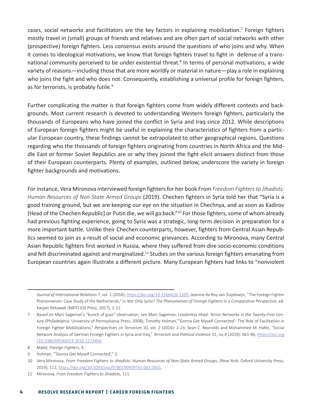cases, social networks and facilitators are the key factors in explaining mobilization.<sup>7</sup> Foreign fighters mostly travel in (small) groups of friends and relatives and are often part of social networks with other (prospective) foreign fighters. Less consensus exists around the questions of who joins and why. When it comes to ideological motivations, we know that foreign fighters travel to fight in defense of a transnational community perceived to be under existential threat.<sup>8</sup> In terms of personal motivations, a wide variety of reasons—including those that are more worldly or material in nature—play a role in explaining who joins the fight and who does not. Consequently, establishing a universal profile for foreign fighters, as for terrorists, is probably futile.<sup>9</sup>

Further complicating the matter is that foreign fighters come from widely different contexts and backgrounds. Most current research is devoted to understanding Western foreign fighters, particularly the thousands of Europeans who have joined the conflict in Syria and Iraq since 2012. While descriptions of European foreign fighters might be useful in explaining the characteristics of fighters from a particular European country, these findings cannot be extrapolated to other geographical regions. Questions regarding who the thousands of foreign fighters originating from countries in North Africa and the Middle East or former Soviet Republics are or why they joined the fight elicit answers distinct from those of their European counterparts. Plenty of examples, outlined below, underscore the variety in foreign fighter backgrounds and motivations.

For instance, Vera Mironova interviewed foreign fighters for her book From *Freedom Fighters to Jihadists: Human Resources of Non-State Armed Groups* (2019). Chechen fighters in Syria told her that "Syria is a good training ground, but we are keeping our eye on the situation in Chechnya, and as soon as Kadirov [Head of the Chechen Republic] or Putin die, we will go back."10 For those fighters, some of whom already had previous fighting experience, going to Syria was a strategic, long-term decision in preparation for a more important battle. Unlike their Chechen counterparts, however, fighters from Central Asian Republics seemed to join as a result of social and economic grievances. According to Mironova, many Central Asian Republic fighters first worked in Russia, where they suffered from dire socio-economic conditions and felt discriminated against and marginalized.<sup>11</sup> Studies on the various foreign fighters emanating from European countries again illustrate a different picture. Many European fighters had links to "nonviolent

*Journal of International Relations* 7, vol. 1 (2016), <https://doi.org/10.15664/jtr.1205>; Jeanine de Roy van Zuijdewijn, "The Foreign Fighter Phenomenon: Case Study of the Netherlands," in *Not Only Syria? The Phenomenon of Foreign Fighters in a Comparative Perspective*, ed. Kacper Rekawek (NATO IOS Press, 2017), 1-11.

<sup>7</sup> Based on Marc Sageman's "bunch of guys" observation, see Marc Sageman, *Leaderless Jihad: Terror Networks in the Twenty-First Century* (Philadelphia: University of Pennsylvania Press, 2008); Timothy Holman,"'Gonna Get Myself Connected': The Role of Facilitation in Foreign Fighter Mobilizations," *Perspectives on Terrorism* 10, vol. 2 (2016): 2-23; Sean C. Reynolds and Mohammed M. Hafez, "Social Network Analysis of German Foreign Fighters in Syria and Iraq," *Terrorism and Political Violence* 31, no.4 (2019): 661-86, [https://doi.org](https://doi.org/10.1080/09546553.2016.1272456) [/10.1080/09546553.2016.1272456](https://doi.org/10.1080/09546553.2016.1272456).

<sup>8</sup> Malet, *Foreign Fighters,* 4.

<sup>9</sup> Holman, "'Gonna Get Myself Connected'," 3.

<sup>10</sup> Vera Mironova, *From Freedom Fighters to Jihadists: Human Resources of Non-State Armed Groups*, (New York: Oxford University Press, 2019), 112, [https://doi.org/10.1093/oso/9780190939755.001.0001.](https://doi.org/10.1093/oso/9780190939755.001.0001)

<sup>11</sup> Mironova, *From Freedom Fighters to Jihadists*, 111.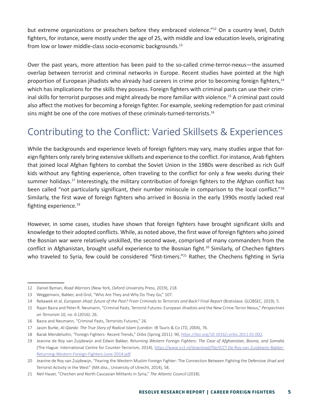but extreme organizations or preachers before they embraced violence."<sup>12</sup> On a country level, Dutch fighters, for instance, were mostly under the age of 25, with middle and low education levels, originating from low or lower middle-class socio-economic backgrounds.<sup>13</sup>

Over the past years, more attention has been paid to the so-called crime-terror-nexus—the assumed overlap between terrorist and criminal networks in Europe. Recent studies have pointed at the high proportion of European jihadists who already had careers in crime prior to becoming foreign fighters,<sup>14</sup> which has implications for the skills they possess. Foreign fighters with criminal pasts can use their criminal skills for terrorist purposes and might already be more familiar with violence.<sup>15</sup> A criminal past could also affect the motives for becoming a foreign fighter. For example, seeking redemption for past criminal sins might be one of the core motives of these criminals-turned-terrorists.<sup>16</sup>

### Contributing to the Conflict: Varied Skillsets & Experiences

While the backgrounds and experience levels of foreign fighters may vary, many studies argue that foreign fighters only rarely bring extensive skillsets and experience to the conflict. For instance, Arab fighters that joined local Afghan fighters to combat the Soviet Union in the 1980s were described as rich Gulf kids without any fighting experience, often traveling to the conflict for only a few weeks during their summer holidays.<sup>17</sup> Interestingly, the military contribution of foreign fighters to the Afghan conflict has been called "not particularly significant, their number miniscule in comparison to the local conflict."18 Similarly, the first wave of foreign fighters who arrived in Bosnia in the early 1990s mostly lacked real fighting experience.<sup>19</sup>

However, in some cases, studies have shown that foreign fighters have brought significant skills and knowledge to their adopted conflicts. While, as noted above, the first wave of foreign fighters who joined the Bosnian war were relatively unskilled, the second wave, comprised of many commanders from the conflict in Afghanistan, brought useful experience to the Bosnian fight.<sup>20</sup> Similarly, of Chechen fighters who traveled to Syria, few could be considered "first-timers."<sup>21</sup> Rather, the Chechens fighting in Syria

<sup>12</sup> Daniel Byman, *Road Warriors* (New York, Oxford University Press, 2019), 218.

<sup>13</sup> Weggemans, Bakker, and Grol, "Who Are They and Why Do They Go," 107.

<sup>14</sup> Rekawek et al, *European Jihad: future of the Past? From Criminals to Terrorists and Back? Final Report* (Bratislava: GLOBSEC, 2019), 5.

<sup>15</sup> Rajan Basra and Peter R. Neumann, "Criminal Pasts, Terrorist Futures: European Jihadists and the New Crime-Terror Nexus," *Perspectives on Terrorism* 10, no. 6 (2016): 26.

<sup>16</sup> Basra and Neumann, "Criminal Pasts, Terrorists Futures," 26.

<sup>17</sup> Jason Burke, *Al-Qaeda: The True Story of Radical Islam* (London: IB Tauris & Co LTD, 2004), 76.

<sup>18</sup> Barak Mendelsohn, "Foreign Fighters - Recent Trends," *Orbis* (Spring 2011): 90, [https://doi.org/10.1016/j.orbis.2011.01.002.](https://doi.org/10.1016/j.orbis.2011.01.002)

<sup>19</sup> Jeanine de Roy van Zuijdewijn and Edwin Bakker, *Returning Western Foreign Fighters: The Case of Afghanistan, Bosnia, and Somalia* (The Hague: International Centre for Counter-Terrorism, 2014), [https://www.icct.nl/download/file/ICCT-De-Roy-van-Zuijdewijn-Bakker-](https://www.icct.nl/download/file/ICCT-De-Roy-van-Zuijdewijn-Bakker-Returning-Western-Foreign-Fighters-June-2014.pdf)[Returning-Western-Foreign-Fighters-June-2014.pdf.](https://www.icct.nl/download/file/ICCT-De-Roy-van-Zuijdewijn-Bakker-Returning-Western-Foreign-Fighters-June-2014.pdf)

<sup>20</sup> Jeanine de Roy van Zuijdewijn, "Fearing the Western Muslim Foreign Fighter: The Connection Between Fighting the Defensive Jihad and Terrorist Activity in the West" (MA diss., University of Utrecht, 2014), 58.

<sup>21</sup> Neil Hauer, "Chechen and North Caucasian Militants in Syria," *The Atlantic Council* (2018).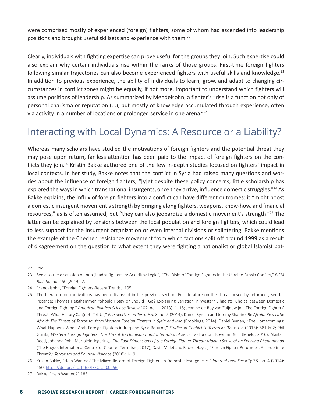were comprised mostly of experienced (foreign) fighters, some of whom had ascended into leadership positions and brought useful skillsets and experience with them.<sup>22</sup>

Clearly, individuals with fighting expertise can prove useful for the groups they join. Such expertise could also explain why certain individuals rise within the ranks of those groups. First-time foreign fighters following similar trajectories can also become experienced fighters with useful skills and knowledge.<sup>23</sup> In addition to previous experience, the ability of individuals to learn, grow, and adapt to changing circumstances in conflict zones might be equally, if not more, important to understand which fighters will assume positions of leadership. As summarized by Mendelsohn, a fighter's "rise is a function not only of personal charisma or reputation (...), but mostly of knowledge accumulated through experience, often via activity in a number of locations or prolonged service in one arena."24

### Interacting with Local Dynamics: A Resource or a Liability?

Whereas many scholars have studied the motivations of foreign fighters and the potential threat they may pose upon return, far less attention has been paid to the impact of foreign fighters on the conflicts they join.25 Kristin Bakke authored one of the few in-depth studies focused on fighters' impact in local contexts. In her study, Bakke notes that the conflict in Syria had raised many questions and worries about the influence of foreign fighters, "[y]et despite these policy concerns, little scholarship has explored the ways in which transnational insurgents, once they arrive, influence domestic struggles."<sup>26</sup> As Bakke explains, the influx of foreign fighters into a conflict can have different outcomes: it "might boost a domestic insurgent movement's strength by bringing along fighters, weapons, know-how, and financial resources," as is often assumed, but "they can also jeopardize a domestic movement's strength."27 The latter can be explained by tensions between the local population and foreign fighters, which could lead to less support for the insurgent organization or even internal divisions or splintering. Bakke mentions the example of the Chechen resistance movement from which factions split off around 1999 as a result of disagreement on the question to what extent they were fighting a nationalist or global Islamist bat-

<sup>22</sup> Ibid.

<sup>23</sup> See also the discussion on non-jihadist fighters in: Arkadiusz Legieć, "The Risks of Foreign Fighters in the Ukraine-Russia Conflict," PISM *Bulletin*, no. 150 (2019), 2.

<sup>24</sup> Mendelsohn, "Foreign Fighters -Recent Trends," 195.

<sup>25</sup> The literature on motivations has been discussed in the previous section. For literature on the threat posed by returnees, see for instance: Thomas Hegghammer, "Should I Stay or Should I Go? Explaining Variation in Western Jihadists' Choice between Domestic and Foreign Fighting," *American Political Science Review* 107, no. 1 (2013): 1–15; Jeanine de Roy van Zuijdewijn, "The Foreign Fighters' Threat: What History Can(not) Tell Us," *Perspectives on Terrorism* 8, no. 5 (2014); Daniel Byman and Jeremy Shapiro, *Be Afraid. Be a Little Afraid: The Threat of Terrorism from Western Foreign Fighters in Syria and Iraq* (Brookings, 2014); Daniel Byman, "The Homecomings: What Happens When Arab Foreign Fighters in Iraq and Syria Return?," *Studies in Conflict & Terrorism* 38, no. 8 (2015): 581-602; Phil Gurski, *Western Foreign Fighters: The Threat to Homeland and International Security* (London: Rowman & Littlefield, 2016); Alastair Reed, Johanna Pohl, Marjolein Jegerings, *The Four Dimensions of the Foreign Fighter Threat: Making Sense of an Evolving Phenomenon*  (The Hague: International Centre for Counter-Terrorism, 2017); David Malet and Rachel Hayes, "Foreign Fighter Returnees: An Indefinite Threat?," *Terrorism and Political Violence* (2018): 1-19.

<sup>26</sup> Kristin Bakke, "Help Wanted? The Mixed Record of Foreign Fighters in Domestic Insurgencies," *International Security* 38, no. 4 (2014): 150, [https://doi.org/10.1162/ISEC\\_a\\_00156.](https://doi.org/10.1162/ISEC_a_00156).

<sup>27</sup> Bakke, "Help Wanted?" 185.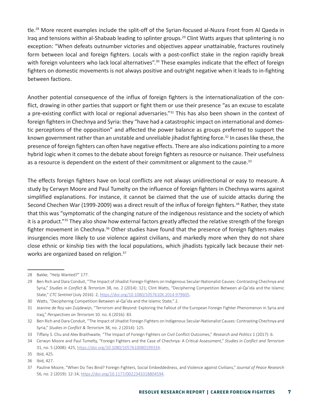tle.28 More recent examples include the split-off of the Syrian-focused al-Nusra Front from Al Qaeda in Iraq and tensions within al-Shabaab leading to splinter groups.29 Clint Watts argues that splintering is no exception: "When defeats outnumber victories and objectives appear unattainable, fractures routinely form between local and foreign fighters. Locals with a post-conflict stake in the region rapidly break with foreign volunteers who lack local alternatives".<sup>30</sup> These examples indicate that the effect of foreign fighters on domestic movements is not always positive and outright negative when it leads to in-fighting between factions.

Another potential consequence of the influx of foreign fighters is the internationalization of the conflict, drawing in other parties that support or fight them or use their presence "as an excuse to escalate a pre-existing conflict with local or regional adversaries."<sup>31</sup> This has also been shown in the context of foreign fighters in Chechnya and Syria: they "have had a catastrophic impact on international and domestic perceptions of the opposition" and affected the power balance as groups preferred to support the known government rather than an unstable and unreliable jihadist fighting force.<sup>32</sup> In cases like these, the presence of foreign fighters can often have negative effects. There are also indications pointing to a more hybrid logic when it comes to the debate about foreign fighters as resource or nuisance. Their usefulness as a resource is dependent on the extent of their commitment or alignment to the cause. $33$ 

The effects foreign fighters have on local conflicts are not always unidirectional or easy to measure. A study by Cerwyn Moore and Paul Tumelty on the influence of foreign fighters in Chechnya warns against simplified explanations. For instance, it cannot be claimed that the use of suicide attacks during the Second Chechen War (1999-2009) was a direct result of the influx of foreign fighters.<sup>34</sup> Rather, they state that this was "symptomatic of the changing nature of the indigenous resistance and the society of which it is a product."35 They also show how external factors greatly affected the relative strength of the foreign fighter movement in Chechnya.<sup>36</sup> Other studies have found that the presence of foreign fighters makes insurgencies more likely to use violence against civilians, and markedly more when they do not share close ethnic or kinship ties with the local populations, which jihadists typically lack because their networks are organized based on religion.37

<sup>28</sup> Bakke, "Help Wanted?" 177.

<sup>29</sup> Ben Rich and Dara Conduit, "The Impact of Jihadist Foreign Fighters on Indigenous Secular-Nationalist Causes: Contrasting Chechnya and Syria," *Studies in Conflict & Terrorism* 38, no. 2 (2014): 121; Clint Watts, "Deciphering Competition Between al-Qa'ida and the Islamic State," *CTC Sentinel* (July 2016): 2, [https://doi.org/10.1080/1057610X.2014.979605.](https://doi.org/10.1080/1057610X.2014.979605)

<sup>30</sup> Watts, "Deciphering Competition Between al-Qa'ida and the Islamic State," 2.

<sup>31</sup> Jeanine de Roy van Zuijdewijn, "Terrorism and Beyond: Exploring the Fallout of the European Foreign Fighter Phenomenon in Syria and Iraq," *Perspectives on Terrorism* 10. no. 6 (2016): 83.

<sup>32</sup> Ben Rich and Dara Conduit, "The Impact of Jihadist Foreign Fighters on Indigenous Secular-Nationalist Causes: Contrasting Chechnya and Syria," *Studies in Conflict & Terrorism* 38, no. 2 (2014): 125.

<sup>33</sup> Tiffany S. Chu and Alex Braithwaite, "The Impact of Foreign Fighters on Civil Conflict Outcomes," *Research and Politics* 1 (2017): 6.

<sup>34</sup> Cerwyn Moore and Paul Tumelty, "Foreign Fighters and the Case of Chechnya: A Critical Assessment," *Studies in Conflict and Terrorism*  31, no. 5 (2008): 425, [https://doi.org/10.1080/1057610080199334.](https://doi.org/10.1080/1057610080199334)

<sup>35</sup> Ibid, 425.

<sup>36</sup> Ibid, 427.

<sup>37</sup> Pauline Moore, "When Do Ties Bind? Foreign Fighters, Social Embeddedness, and Violence against Civilians," *Journal of Peace Research*  56, no. 2 (2019): 12-14, <https://doi.org/10.1177/0022343318804594>.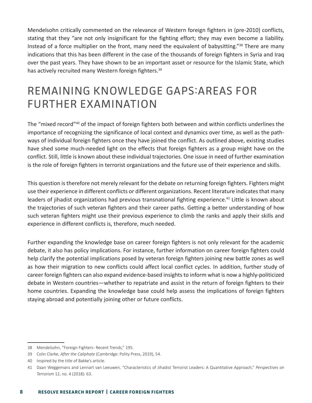Mendelsohn critically commented on the relevance of Western foreign fighters in (pre-2010) conflicts, stating that they "are not only insignificant for the fighting effort; they may even become a liability. Instead of a force multiplier on the front, many need the equivalent of babysitting."<sup>38</sup> There are many indications that this has been different in the case of the thousands of foreign fighters in Syria and Iraq over the past years. They have shown to be an important asset or resource for the Islamic State, which has actively recruited many Western foreign fighters.<sup>39</sup>

# REMAINING KNOWLEDGE GAPS:AREAS FOR FURTHER EXAMINATION

The "mixed record"40 of the impact of foreign fighters both between and within conflicts underlines the importance of recognizing the significance of local context and dynamics over time, as well as the pathways of individual foreign fighters once they have joined the conflict. As outlined above, existing studies have shed some much-needed light on the effects that foreign fighters as a group might have on the conflict. Still, little is known about these individual trajectories. One issue in need of further examination is the role of foreign fighters in terrorist organizations and the future use of their experience and skills.

This question is therefore not merely relevant for the debate on returning foreign fighters. Fighters might use their experience in different conflicts or different organizations. Recent literature indicates that many leaders of jihadist organizations had previous transnational fighting experience.<sup>41</sup> Little is known about the trajectories of such veteran fighters and their career paths. Getting a better understanding of how such veteran fighters might use their previous experience to climb the ranks and apply their skills and experience in different conflicts is, therefore, much needed.

Further expanding the knowledge base on career foreign fighters is not only relevant for the academic debate, it also has policy implications. For instance, further information on career foreign fighters could help clarify the potential implications posed by veteran foreign fighters joining new battle zones as well as how their migration to new conflicts could affect local conflict cycles. In addition, further study of career foreign fighters can also expand evidence-based insights to inform what is now a highly-politicized debate in Western countries—whether to repatriate and assist in the return of foreign fighters to their home countries. Expanding the knowledge base could help assess the implications of foreign fighters staying abroad and potentially joining other or future conflicts.

<sup>38</sup> Mendelsohn, "Foreign Fighters - Recent Trends," 195.

<sup>39</sup> Colin Clarke, *After the Caliphate* (Cambridge: Polity Press, 2019), 54.

<sup>40</sup> Inspired by the title of Bakke's article.

<sup>41</sup> Daan Weggemans and Lennart van Leeuwen, "Characteristics of Jihadist Terrorist Leaders: A Quantitative Approach," *Perspectives on Terrorism* 12, no. 4 (2018): 63.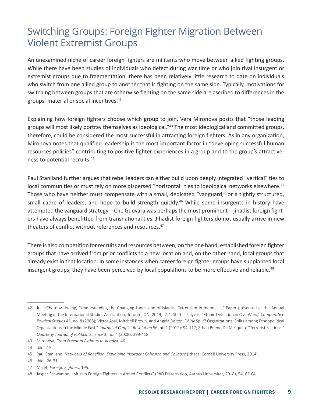### Switching Groups: Foreign Fighter Migration Between Violent Extremist Groups

An unexamined niche of career foreign fighters are militants who move between allied fighting groups. While there have been studies of individuals who defect during war time or who join rival insurgent or extremist groups due to fragmentation, there has been relatively little research to date on individuals who switch from one allied group to another that is fighting on the same side. Typically, motivations for switching between groups that are otherwise fighting on the same side are ascribed to differences in the groups' material or social incentives.42

Explaining how foreign fighters choose which group to join, Vera Mironova posits that "those leading groups will most likely portray themselves as ideological."43 The most ideological and committed groups, therefore, could be considered the most successful in attracting foreign fighters. As in any organization, Mironova notes that qualified leadership is the most important factor in "developing successful human resources policies" contributing to positive fighter experiences in a group and to the group's attractiveness to potential recruits.44

Paul Staniland further argues that rebel leaders can either build upon deeply integrated "vertical" ties to local communities or must rely on more dispersed "horizontal" ties to ideological networks elsewhere.<sup>45</sup> Those who have neither must compensate with a small, dedicated "vanguard," or a tightly structured, small cadre of leaders, and hope to build strength quickly.<sup>46</sup> While some insurgents in history have attempted the vanguard strategy—Che Guevara was perhaps the most prominent—jihadist foreign fighters have always benefitted from transnational ties. Jihadist foreign fighters do not usually arrive in new theaters of conflict without references and resources.<sup>47</sup>

There is also competition for recruits and resources between, on the one hand, established foreign fighter groups that have arrived from prior conflicts to a new location and, on the other hand, local groups that already exist in that location. In some instances when career foreign fighter groups have supplanted local insurgent groups, they have been perceived by local populations to be more effective and reliable.<sup>48</sup>

<sup>42</sup> Julie Chernov Hwang, "Understanding the Changing Landscape of Islamist Extremism in Indonesia," Paper presented at the Annual Meeting of the International Studies Association, Toronto, ON (2019): 2-4; Stathis Kalyvas, "Ethnic Defection in Civil Wars," *Comparative Political Studies* 41, no. 8 (2008); Victor Asal, Mitchell Brown, and Angela Dalton, "Why Split? Organizational Splits among Ethnopolitical Organizations in the Middle East," *Journal of Conflict Resolution* 56, no.1 (2012): 94-117; Ethan Bueno De Mesquita, "Terrorist Factions," *Quarterly Journal of Political Science* 3, no. 4 (2008): 399-418.

<sup>43</sup> Mironova, *From Freedom Fighters to Jihadist*, 46.

<sup>44</sup> Ibid., 15.

<sup>45</sup> Paul Staniland, *Networks of Rebellion: Explaining Insurgent Cohesion and Collapse* (Ithaca: Cornell University Press, 2014).

<sup>46</sup> Ibid., 26-31.

<sup>47</sup> Malet, *Foreign Fighters*, 195.

<sup>48</sup> Jasper Schwampe, "Muslim Foreign Fighters in Armed Conflicts" (PhD Dissertation, Aarhus Universitet, 2018), 54, 62-64.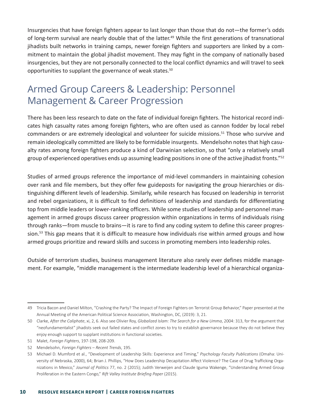Insurgencies that have foreign fighters appear to last longer than those that do not—the former's odds of long-term survival are nearly double that of the latter.<sup>49</sup> While the first generations of transnational jihadists built networks in training camps, newer foreign fighters and supporters are linked by a commitment to maintain the global jihadist movement. They may fight in the company of nationally based insurgencies, but they are not personally connected to the local conflict dynamics and will travel to seek opportunities to supplant the governance of weak states.<sup>50</sup>

### Armed Group Careers & Leadership: Personnel Management & Career Progression

There has been less research to date on the fate of individual foreign fighters. The historical record indicates high casualty rates among foreign fighters, who are often used as cannon fodder by local rebel commanders or are extremely ideological and volunteer for suicide missions.<sup>51</sup> Those who survive and remain ideologically committed are likely to be formidable insurgents. Mendelsohn notes that high casualty rates among foreign fighters produce a kind of Darwinian selection, so that "only a relatively small group of experienced operatives ends up assuming leading positions in one of the active jihadist fronts."<sup>52</sup>

Studies of armed groups reference the importance of mid-level commanders in maintaining cohesion over rank and file members, but they offer few guideposts for navigating the group hierarchies or distinguishing different levels of leadership. Similarly, while research has focused on leadership in terrorist and rebel organizations, it is difficult to find definitions of leadership and standards for differentiating top from middle leaders or lower-ranking officers. While some studies of leadership and personnel management in armed groups discuss career progression within organizations in terms of individuals rising through ranks—from muscle to brains—it is rare to find any coding system to define this career progression.<sup>53</sup> This gap means that it is difficult to measure how individuals rise within armed groups and how armed groups prioritize and reward skills and success in promoting members into leadership roles.

Outside of terrorism studies, business management literature also rarely ever defines middle management. For example, "middle management is the intermediate leadership level of a hierarchical organiza-

<sup>49</sup> Tricia Bacon and Daniel Milton, "Crashing the Party? The Impact of Foreign Fighters on Terrorist Group Behavior," Paper presented at the Annual Meeting of the American Political Science Association, Washington, DC, (2019): 3, 21.

<sup>50</sup> Clarke, *After the Caliphate*, xi, 2, 6. Also see Olivier Roy, *Globalized Islam: The Search for a New Umma*, 2004: 313, for the argument that "neofundamentalist" jihadists seek out failed states and conflict zones to try to establish governance because they do not believe they enjoy enough support to supplant institutions in functional societies.

<sup>51</sup> Malet, *Foreign Fighters*, 197-198, 208-209.

<sup>52</sup> Mendelsohn, *Foreign Fighters – Recent Trends*, 195.

<sup>53</sup> Michael D. Mumford et al., "Development of Leadership Skills: Experience and Timing," *Psychology Faculty Publications* (Omaha: University of Nebraska, 2000), 64; Brian J. Phillips, "How Does Leadership Decapitation Affect Violence? The Case of Drug Trafficking Organizations in Mexico," *Journal of Politics* 77, no. 2 (2015); Judith Verweijen and Claude Iguma Wakenge, "Understanding Armed Group Proliferation in the Eastern Congo," *Rift Valley Institute Briefing Paper* (2015).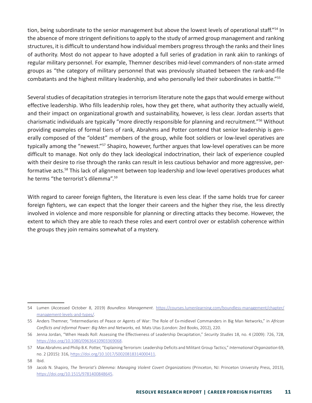tion, being subordinate to the senior management but above the lowest levels of operational staff."<sup>54</sup> In the absence of more stringent definitions to apply to the study of armed group management and ranking structures, it is difficult to understand how individual members progress through the ranks and their lines of authority. Most do not appear to have adopted a full series of gradation in rank akin to rankings of regular military personnel. For example, Themner describes mid-level commanders of non-state armed groups as "the category of military personnel that was previously situated between the rank-and-file combatants and the highest military leadership, and who personally led their subordinates in battle."55

Several studies of decapitation strategies in terrorism literature note the gaps that would emerge without effective leadership. Who fills leadership roles, how they get there, what authority they actually wield, and their impact on organizational growth and sustainability, however, is less clear. Jordan asserts that charismatic individuals are typically "more directly responsible for planning and recruitment."56 Without providing examples of formal tiers of rank, Abrahms and Potter contend that senior leadership is generally composed of the "oldest" members of the group, while foot soldiers or low-level operatives are typically among the "newest."<sup>57</sup> Shapiro, however, further argues that low-level operatives can be more difficult to manage. Not only do they lack ideological indoctrination, their lack of experience coupled with their desire to rise through the ranks can result in less cautious behavior and more aggressive, performative acts.<sup>58</sup> This lack of alignment between top leadership and low-level operatives produces what he terms "the terrorist's dilemma".59

With regard to career foreign fighters, the literature is even less clear. If the same holds true for career foreign fighters, we can expect that the longer their careers and the higher they rise, the less directly involved in violence and more responsible for planning or directing attacks they become. However, the extent to which they are able to reach these roles and exert control over or establish coherence within the groups they join remains somewhat of a mystery.

<sup>54</sup> Lumen (Accessed October 8, 2019) *Boundless Management*. [https://courses.lumenlearning.com/boundless-management/chapter/](https://courses.lumenlearning.com/boundless-management/chapter/management-levels-and-types/) [management-levels-and-types/](https://courses.lumenlearning.com/boundless-management/chapter/management-levels-and-types/).

<sup>55</sup> Anders Themner, "Intermediaries of Peace or Agents of War: The Role of Ex-midlevel Commanders in Big Man Networks," in *African Conflicts and Informal Power: Big Men and Networks*, ed. Mats Utas (London: Zed Books, 2012), 220.

<sup>56</sup> Jenna Jordan, "When Heads Roll: Assessing the Effectiveness of Leadership Decapitation," *Security Studies* 18, no. 4 (2009): 726, 728, [https://doi.org/10.1080/09636410903369068.](https://doi.org/10.1080/09636410903369068)

<sup>57</sup> Max Abrahms and Philip B.K. Potter, "Explaining Terrorism: Leadership Deficits and Militant Group Tactics," *International Organization* 69, no. 2 (2015): 316,<https://doi.org/10.1017/S0020818314000411>.

<sup>58</sup> Ibid.

<sup>59</sup> Jacob N. Shapiro, *The Terrorist's Dilemma: Managing Violent Covert Organizations* (Princeton, NJ: Princeton University Press, 2013), [https://doi.org/10.1515/9781400848645.](https://doi.org/10.1515/9781400848645)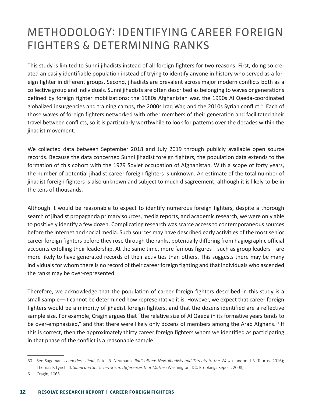# METHODOLOGY: IDENTIFYING CAREER FOREIGN FIGHTERS & DETERMINING RANKS

This study is limited to Sunni jihadists instead of all foreign fighters for two reasons. First, doing so created an easily identifiable population instead of trying to identify anyone in history who served as a foreign fighter in different groups. Second, jihadists are prevalent across major modern conflicts both as a collective group and individuals. Sunni jihadists are often described as belonging to waves or generations defined by foreign fighter mobilizations: the 1980s Afghanistan war, the 1990s Al Qaeda-coordinated globalized insurgencies and training camps, the 2000s Iraq War, and the 2010s Syrian conflict.<sup>60</sup> Each of those waves of foreign fighters networked with other members of their generation and facilitated their travel between conflicts, so it is particularly worthwhile to look for patterns over the decades within the jihadist movement.

We collected data between September 2018 and July 2019 through publicly available open source records. Because the data concerned Sunni jihadist foreign fighters, the population data extends to the formation of this cohort with the 1979 Soviet occupation of Afghanistan. With a scope of forty years, the number of potential jihadist career foreign fighters is unknown. An estimate of the total number of jihadist foreign fighters is also unknown and subject to much disagreement, although it is likely to be in the tens of thousands.

Although it would be reasonable to expect to identify numerous foreign fighters, despite a thorough search of jihadist propaganda primary sources, media reports, and academic research, we were only able to positively identify a few dozen. Complicating research was scarce access to contemporaneous sources before the internet and social media. Such sources may have described early activities of the most senior career foreign fighters before they rose through the ranks, potentially differing from hagiographic official accounts extolling their leadership. At the same time, more famous figures—such as group leaders—are more likely to have generated records of their activities than others. This suggests there may be many individuals for whom there is no record of their career foreign fighting and that individuals who ascended the ranks may be over-represented.

Therefore, we acknowledge that the population of career foreign fighters described in this study is a small sample—it cannot be determined how representative it is. However, we expect that career foreign fighters would be a minority of jihadist foreign fighters, and that the dozens identified are a reflective sample size. For example, Cragin argues that "the relative size of Al Qaeda in its formative years tends to be over-emphasized," and that there were likely only dozens of members among the Arab Afghans.<sup>61</sup> If this is correct, then the approximately thirty career foreign fighters whom we identified as participating in that phase of the conflict is a reasonable sample.

<sup>60</sup> See Sageman, *Leaderless Jihad*; Peter R. Neumann, *Radicalized: New Jihadists and Threats to the West* (London: I.B. Taurus, 2016); Thomas F. Lynch III, *Sunni and Shi 'a Terrorism: Differences that Matter* (Washington, DC: Brookings Report, 2008).

<sup>61</sup> Cragin, 1065.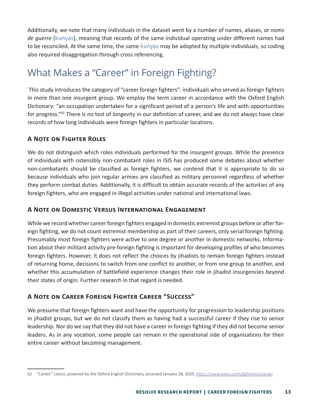Additionally, we note that many individuals in the dataset went by a number of names, aliases, or *noms de guerre* (kunyas), meaning that records of the same individual operating under different names had to be reconciled. At the same time, the same kunyas may be adopted by multiple individuals, so coding also required disaggregation through cross referencing.

### What Makes a "Career" in Foreign Fighting?

 This study introduces the category of "career foreign fighters": individuals who served as foreign fighters in more than one insurgent group. We employ the term career in accordance with the Oxford English Dictionary: "an occupation undertaken for a significant period of a person's life and with opportunities for progress."62 There is no test of longevity in our definition of career, and we do not always have clear records of how long individuals were foreign fighters in particular locations.

#### **A Note on Fighter Roles**

We do not distinguish which roles individuals performed for the insurgent groups. While the presence of individuals with ostensibly non-combatant roles in ISIS has produced some debates about whether non-combatants should be classified as foreign fighters, we contend that it is appropriate to do so because individuals who join regular armies are classified as military personnel regardless of whether they perform combat duties. Additionally, it is difficult to obtain accurate records of the activities of any foreign fighters, who are engaged in illegal activities under national and international laws.

#### **A Note on Domestic Versus International Engagement**

While we record whether career foreign fighters engaged in domestic extremist groups before or after foreign fighting, we do not count extremist membership as part of their careers, only serial foreign fighting. Presumably most foreign fighters were active to one degree or another in domestic networks. Information about their militant activity pre-foreign fighting is important for developing profiles of who becomes foreign fighters. However, it does not reflect the choices by jihadists to remain foreign fighters instead of returning home, decisions to switch from one conflict to another, or from one group to another, and whether this accumulation of battlefield experience changes their role in jihadist insurgencies beyond their states of origin. Further research in that regard is needed.

#### **A Note on Career Foreign Fighter Career "Success"**

We presume that foreign fighters want and have the opportunity for progression to leadership positions in jihadist groups, but we do not classify them as having had a successful career if they rise to senior leadership. Nor do we say that they did not have a career in foreign fighting if they did not become senior leaders. As in any vocation, some people can remain in the operational side of organizations for their entire career without becoming management.

<sup>62</sup> "Career," *Lexico*, powered by the Oxford English Dictionary, accessed January 28, 2020, [https://www.lexico.com/definition/career.](https://www.lexico.com/definition/career)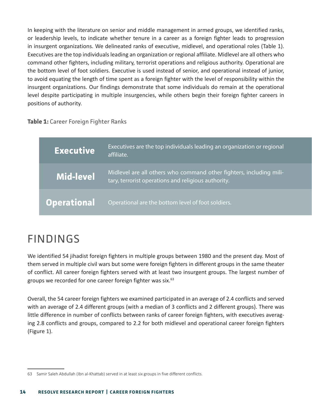In keeping with the literature on senior and middle management in armed groups, we identified ranks, or leadership levels, to indicate whether tenure in a career as a foreign fighter leads to progression in insurgent organizations. We delineated ranks of executive, midlevel, and operational roles (Table 1). Executives are the top individuals leading an organization or regional affiliate. Midlevel are all others who command other fighters, including military, terrorist operations and religious authority. Operational are the bottom level of foot soldiers. Executive is used instead of senior, and operational instead of junior, to avoid equating the length of time spent as a foreign fighter with the level of responsibility within the insurgent organizations. Our findings demonstrate that some individuals do remain at the operational level despite participating in multiple insurgencies, while others begin their foreign fighter careers in positions of authority.

#### **Table 1:** Career Foreign Fighter Ranks

| Executive <b>I</b> | Executives are the top individuals leading an organization or regional<br>affiliate.                                       |
|--------------------|----------------------------------------------------------------------------------------------------------------------------|
| Mid-level          | Midlevel are all others who command other fighters, including mili-<br>tary, terrorist operations and religious authority. |
| <b>Operational</b> | Operational are the bottom level of foot soldiers.                                                                         |

# FINDINGS

We identified 54 jihadist foreign fighters in multiple groups between 1980 and the present day. Most of them served in multiple civil wars but some were foreign fighters in different groups in the same theater of conflict. All career foreign fighters served with at least two insurgent groups. The largest number of groups we recorded for one career foreign fighter was six.<sup>63</sup>

Overall, the 54 career foreign fighters we examined participated in an average of 2.4 conflicts and served with an average of 2.4 different groups (with a median of 3 conflicts and 2 different groups). There was little difference in number of conflicts between ranks of career foreign fighters, with executives averaging 2.8 conflicts and groups, compared to 2.2 for both midlevel and operational career foreign fighters (Figure 1).

<sup>63</sup> Samir Saleh Abdullah (Ibn al-Khattab) served in at least six groups in five different conflicts.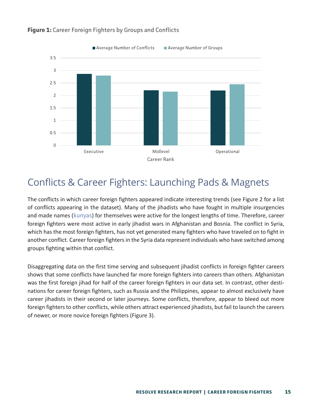

#### **Figure 1:** Career Foreign Fighters by Groups and Conflicts

### Conflicts & Career Fighters: Launching Pads & Magnets

The conflicts in which career foreign fighters appeared indicate interesting trends (see Figure 2 for a list of conflicts appearing in the dataset). Many of the jihadists who have fought in multiple insurgencies and made names (kunyas) for themselves were active for the longest lengths of time. Therefore, career foreign fighters were most active in early jihadist wars in Afghanistan and Bosnia. The conflict in Syria, which has the most foreign fighters, has not yet generated many fighters who have traveled on to fight in another conflict. Career foreign fighters in the Syria data represent individuals who have switched among groups fighting within that conflict.

Disaggregating data on the first time serving and subsequent jihadist conflicts in foreign fighter careers shows that some conflicts have launched far more foreign fighters into careers than others. Afghanistan was the first foreign jihad for half of the career foreign fighters in our data set. In contrast, other destinations for career foreign fighters, such as Russia and the Philippines, appear to almost exclusively have career jihadists in their second or later journeys. Some conflicts, therefore, appear to bleed out more foreign fighters to other conflicts, while others attract experienced jihadists, but fail to launch the careers of newer, or more novice foreign fighters (Figure 3).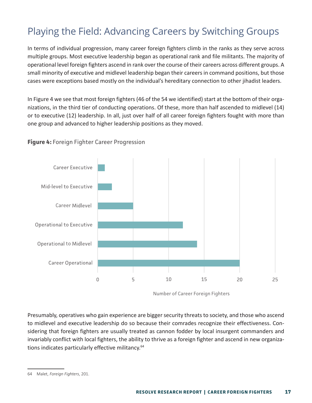### Playing the Field: Advancing Careers by Switching Groups

In terms of individual progression, many career foreign fighters climb in the ranks as they serve across multiple groups. Most executive leadership began as operational rank and file militants. The majority of operational level foreign fighters ascend in rank over the course of their careers across different groups. A small minority of executive and midlevel leadership began their careers in command positions, but those cases were exceptions based mostly on the individual's hereditary connection to other jihadist leaders.

In Figure 4 we see that most foreign fighters (46 of the 54 we identified) start at the bottom of their organizations, in the third tier of conducting operations. Of these, more than half ascended to midlevel (14) or to executive (12) leadership. In all, just over half of all career foreign fighters fought with more than one group and advanced to higher leadership positions as they moved.



#### **Figure 4:** Foreign Fighter Career Progression

Number of Career Foreign Fighters

Presumably, operatives who gain experience are bigger security threats to society, and those who ascend to midlevel and executive leadership do so because their comrades recognize their effectiveness. Considering that foreign fighters are usually treated as cannon fodder by local insurgent commanders and invariably conflict with local fighters, the ability to thrive as a foreign fighter and ascend in new organizations indicates particularly effective militancy.<sup>64</sup>

<sup>64</sup> Malet, *Foreign Fighters*, 201.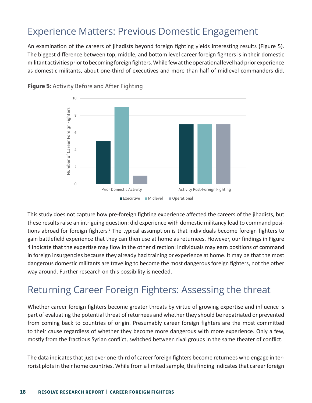### Experience Matters: Previous Domestic Engagement

An examination of the careers of jihadists beyond foreign fighting yields interesting results (Figure 5). The biggest difference between top, middle, and bottom level career foreign fighters is in their domestic militant activities prior to becoming foreign fighters. While few at the operational level had prior experience as domestic militants, about one-third of executives and more than half of midlevel commanders did.



**Figure 5:** Activity Before and After Fighting

This study does not capture how pre-foreign fighting experience affected the careers of the jihadists, but these results raise an intriguing question: did experience with domestic militancy lead to command positions abroad for foreign fighters? The typical assumption is that individuals become foreign fighters to gain battlefield experience that they can then use at home as returnees. However, our findings in Figure 4 indicate that the expertise may flow in the other direction: individuals may earn positions of command in foreign insurgencies because they already had training or experience at home. It may be that the most dangerous domestic militants are traveling to become the most dangerous foreign fighters, not the other way around. Further research on this possibility is needed.

### Returning Career Foreign Fighters: Assessing the threat

Whether career foreign fighters become greater threats by virtue of growing expertise and influence is part of evaluating the potential threat of returnees and whether they should be repatriated or prevented from coming back to countries of origin. Presumably career foreign fighters are the most committed to their cause regardless of whether they become more dangerous with more experience. Only a few, mostly from the fractious Syrian conflict, switched between rival groups in the same theater of conflict.

The data indicates that just over one-third of career foreign fighters become returnees who engage in terrorist plots in their home countries. While from a limited sample, this finding indicates that career foreign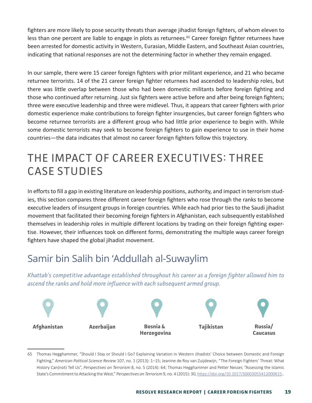fighters are more likely to pose security threats than average jihadist foreign fighters, of whom eleven to less than one percent are liable to engage in plots as returnees.<sup>65</sup> Career foreign fighter returnees have been arrested for domestic activity in Western, Eurasian, Middle Eastern, and Southeast Asian countries, indicating that national responses are not the determining factor in whether they remain engaged.

In our sample, there were 15 career foreign fighters with prior militant experience, and 21 who became returnee terrorists. 14 of the 21 career foreign fighter returnees had ascended to leadership roles, but there was little overlap between those who had been domestic militants before foreign fighting and those who continued after returning. Just six fighters were active before and after being foreign fighters; three were executive leadership and three were midlevel. Thus, it appears that career fighters with prior domestic experience make contributions to foreign fighter insurgencies, but career foreign fighters who become returnee terrorists are a different group who had little prior experience to begin with. While some domestic terrorists may seek to become foreign fighters to gain experience to use in their home countries—the data indicates that almost no career foreign fighters follow this trajectory.

# THE IMPACT OF CAREER EXECUTIVES: THREE CASE STUDIES

In efforts to fill a gap in existing literature on leadership positions, authority, and impact in terrorism studies, this section compares three different career foreign fighters who rose through the ranks to become executive leaders of insurgent groups in foreign countries. While each had prior ties to the Saudi jihadist movement that facilitated their becoming foreign fighters in Afghanistan, each subsequently established themselves in leadership roles in multiple different locations by trading on their foreign fighting expertise. However, their influences took on different forms, demonstrating the multiple ways career foreign fighters have shaped the global jihadist movement.

### Samir bin Salih bin 'Addullah al-Suwaylim

*Khattab's competitive advantage established throughout his career as a foreign fighter allowed him to ascend the ranks and hold more influence with each subsequent armed group.*



<sup>65</sup> Thomas Hegghammer, "Should I Stay or Should I Go? Explaining Variation in Western Jihadists' Choice between Domestic and Foreign Fighting," *American Political Science Review* 107, no. 1 (2013): 1–15; Jeanine de Roy van Zuijdewijn, "The Foreign Fighters' Threat: What History Can(not) Tell Us", *Perspectives on Terrorism* 8, no. 5 (2014): 64; Thomas Hegghammer and Petter Nesser, "Assessing the Islamic State's Commitment to Attacking the West," *Perspectives on Terrorism* 9, no. 4 (2015): 30, [https://doi.org/10.1017/S0003055412000615.](https://doi.org/10.1017/S0003055412000615).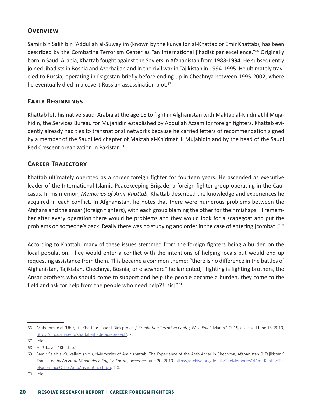#### **Overview**

Samir bin Salih bin `Addullah al-Suwaylim (known by the kunya Ibn al-Khattab or Emir Khattab), has been described by the Combating Terrorism Center as "an international jihadist par excellence."66 Originally born in Saudi Arabia, Khattab fought against the Soviets in Afghanistan from 1988-1994. He subsequently joined jihadists in Bosnia and Azerbaijan and in the civil war in Tajikistan in 1994-1995. He ultimately traveled to Russia, operating in Dagestan briefly before ending up in Chechnya between 1995-2002, where he eventually died in a covert Russian assassination plot.<sup>67</sup>

#### **Early Beginnings**

Khattab left his native Saudi Arabia at the age 18 to fight in Afghanistan with Maktab al-Khidmat lil Mujahidin, the Services Bureau for Mujahidin established by Abdullah Azzam for foreign fighters. Khattab evidently already had ties to transnational networks because he carried letters of recommendation signed by a member of the Saudi led chapter of Maktab al-Khidmat lil Mujahidin and by the head of the Saudi Red Crescent organization in Pakistan.<sup>68</sup>

#### **Career Trajectory**

Khattab ultimately operated as a career foreign fighter for fourteen years. He ascended as executive leader of the International Islamic Peacekeeping Brigade, a foreign fighter group operating in the Caucasus. In his memoir, *Memories of Amir Khattab*, Khattab described the knowledge and experiences he acquired in each conflict. In Afghanistan, he notes that there were numerous problems between the Afghans and the ansar (foreign fighters), with each group blaming the other for their mishaps. "I remember after every operation there would be problems and they would look for a scapegoat and put the problems on someone's back. Really there was no studying and order in the case of entering [combat]."<sup>69</sup>

According to Khattab, many of these issues stemmed from the foreign fighters being a burden on the local population. They would enter a conflict with the intentions of helping locals but would end up requesting assistance from them. This became a common theme: "there is no difference in the battles of Afghanistan, Tajikistan, Chechnya, Bosnia, or elsewhere" he lamented, "fighting is fighting brothers, the Ansar brothers who should come to support and help the people became a burden, they come to the field and ask for help from the people who need help?! [sic]"70

<sup>66</sup> Muhammad al-`Ubaydi, "Khattab: Jihadist Bios project," *Combating Terrorism Center, West Point,* March 1 2015, accessed June 15, 2019, [https://ctc.usma.edu/khattab-jihadi-bios-project/,](https://ctc.usma.edu/khattab-jihadi-bios-project/) 2.

<sup>67</sup> Ibid.

<sup>68</sup> Al-`Ubaydi, "Khattab."

<sup>69</sup> Samir Saleh al-Suwailem (n.d.), "Memories of Amir Khattab: The Experience of the Arab Ansar in Chechnya, Afghanistan & Tajikistan," Translated by *Ansar al-Mujahideen English Forum*, accessed June 20, 2019. [https://archive.org/details/TheMemoriesOfAmirKhattabTh](https://archive.org/details/TheMemoriesOfAmirKhattabTheExperienceOfTheArabAnsarInChechnya)[eExperienceOfTheArabAnsarInChechnya:](https://archive.org/details/TheMemoriesOfAmirKhattabTheExperienceOfTheArabAnsarInChechnya) 4-8.

<sup>70</sup> Ibid.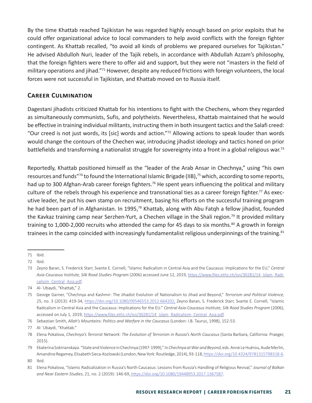By the time Khattab reached Tajikistan he was regarded highly enough based on prior exploits that he could offer organizational advice to local commanders to help avoid conflicts with the foreign fighter contingent. As Khattab recalled, "to avoid all kinds of problems we prepared ourselves for Tajikistan." He advised Abdulloh Nuri, leader of the Tajik rebels, in accordance with Abdullah Azzam's philosophy, that the foreign fighters were there to offer aid and support, but they were not "masters in the field of military operations and jihad."71 However, despite any reduced frictions with foreign volunteers, the local forces were not successful in Tajikistan, and Khattab moved on to Russia itself.

#### **Career Culmination**

Dagestani jihadists criticized Khattab for his intentions to fight with the Chechens, whom they regarded as simultaneously communists, Sufis, and polytheists. Nevertheless, Khattab maintained that he would be effective in training individual militants, instructing them in both insurgent tactics and the Salafi creed: "Our creed is not just words, its [sic] words and action."72 Allowing actions to speak louder than words would change the contours of the Chechen war, introducing jihadist ideology and tactics honed on prior battlefields and transforming a nationalist struggle for sovereignty into a front in a global religious war.<sup>73</sup>

Reportedly, Khattab positioned himself as the "leader of the Arab Ansar in Chechnya," using "his own resources and funds"<sup>74</sup> to found the International Islamic Brigade (IIB),<sup>75</sup> which, according to some reports, had up to 300 Afghan-Arab career foreign fighters.<sup>76</sup> He spent years influencing the political and military culture of the rebels through his experience and transnational ties as a career foreign fighter.<sup>77</sup> As executive leader, he put his own stamp on recruitment, basing his efforts on the successful training program he had been part of in Afghanistan. In 1995,<sup>78</sup> Khattab, along with Abu Fatqh a fellow jihadist, founded the Kavkaz training camp near Serzhen-Yurt, a Chechen village in the Shali region.<sup>79</sup> It provided military training to 1,000-2,000 recruits who attended the camp for 45 days to six months.<sup>80</sup> A growth in foreign trainees in the camp coincided with increasingly fundamentalist religious underpinnings of the training.<sup>81</sup>

<sup>71</sup> Ibid.

<sup>72</sup> Ibid.

<sup>73</sup> Zeyno Baran, S. Frederick Starr, Svante E. Cornell, "Islamic Radicalism in Central Asia and the Caucasus: Implications for the EU," *Central Asia-Caucasus Institute, Silk Road Studies Program* (2006) accessed June 12, 2019, [https://www.files.ethz.ch/isn/30281/14\\_Islam\\_Radi](https://www.files.ethz.ch/isn/30281/14_Islam_Radicalisim_Central_Asia.pdf)[calisim\\_Central\\_Asia.pdf.](https://www.files.ethz.ch/isn/30281/14_Islam_Radicalisim_Central_Asia.pdf)

<sup>74</sup> Al-`Ubaydi, "Khattab," 2.

<sup>75</sup> George Garner, "Chechnya and Kashmir: The Jihadist Evolution of Nationalism to Jihad and Beyond," *Terrorism and Political Violence,*  25, no. 3 (2013): 419-34, [https://doi.org/10.1080/09546553.2012.664202;](https://doi.org/10.1080/09546553.2012.664202) Zeyno Baran, S. Frederick Starr, Svante E. Cornell, "Islamic Radicalism in Central Asia and the Caucasus: Implications for the EU." *Central Asia-Caucasus Institute, Silk Road Studies Program* (2006), accessed on July 1, 2019, [https://www.files.ethz.ch/isn/30281/14\\_Islam\\_Radicalisim\\_Central\\_Asia.pdf.](https://www.files.ethz.ch/isn/30281/14_Islam_Radicalisim_Central_Asia.pdf)

<sup>76</sup> Sebastian Smith, *Allah's Mountains: Politics and Warfare in the Caucasus* (London: I.B. Taurus, 1998), 152-53.

<sup>77</sup> Al-`Ubaydi, "Khattab."

<sup>78</sup> Elena Pokalova, *Chechnya's Terrorist Network: The Evolution of Terrorism in Russia's North Caucasus* (Santa Barbara, California: Praeger, 2015).

<sup>79</sup> Ekaterina Sokirianskaya. "State and Violence in Chechnya (1997-1999)," In *Chechnya at War and Beyond*, eds. Anne Le Huérou, Aude Merlin, Amandine Regamey, Elisabeth Sieca-Kozlowski (London, New York: Routledge, 2014), 93-118, [https://doi.org/10.4324/9781315798318-6.](https://doi.org/10.4324/9781315798318-6)

<sup>80</sup> Ibid.

<sup>81</sup> Elena Pokalova, "Islamic Radicalization in Russia's North Caucasus: Lessons from Russia's Handling of Religious Revival," *Journal of Balkan and Near Eastern Studies*, 21, no. 2 (2019): 146-69, [https://doi.org/10.1080/19448953.2017.1367587.]( https://doi.org/10.1080/19448953.2017.1367587)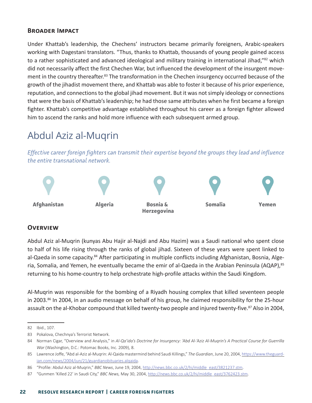#### **Broader Impact**

Under Khattab's leadership, the Chechens' instructors became primarily foreigners, Arabic-speakers working with Dagestani translators. "Thus, thanks to Khattab, thousands of young people gained access to a rather sophisticated and advanced ideological and military training in international Jihad,"82 which did not necessarily affect the first Chechen War, but influenced the development of the insurgent movement in the country thereafter.<sup>83</sup> The transformation in the Chechen insurgency occurred because of the growth of the jihadist movement there, and Khattab was able to foster it because of his prior experience, reputation, and connections to the global jihad movement. But it was not simply ideology or connections that were the basis of Khattab's leadership; he had those same attributes when he first became a foreign fighter. Khattab's competitive advantage established throughout his career as a foreign fighter allowed him to ascend the ranks and hold more influence with each subsequent armed group.

### Abdul Aziz al-Muqrin

*Effective career foreign fighters can transmit their expertise beyond the groups they lead and influence the entire transnational network.*



#### **Overview**

Abdul Aziz al-Muqrin (kunyas Abu Hajir al-Najdi and Abu Hazim) was a Saudi national who spent close to half of his life rising through the ranks of global jihad. Sixteen of these years were spent linked to al-Qaeda in some capacity.<sup>84</sup> After participating in multiple conflicts including Afghanistan, Bosnia, Algeria, Somalia, and Yemen, he eventually became the emir of al-Qaeda in the Arabian Peninsula (AQAP),<sup>85</sup> returning to his home-country to help orchestrate high-profile attacks within the Saudi Kingdom.

Al-Muqrin was responsible for the bombing of a Riyadh housing complex that killed seventeen people in 2003.<sup>86</sup> In 2004, in an audio message on behalf of his group, he claimed responsibility for the 25-hour assault on the al-Khobar compound that killed twenty-two people and injured twenty-five.<sup>87</sup> Also in 2004,

<sup>82</sup> Ibid., 107.

<sup>83</sup> Pokalova, Chechnya's Terrorist Network.

<sup>84</sup> Norman Cigar, "Overview and Analysis," in *Al-Qa'ida's Doctrine for Insurgency: 'Abd Al-'Aziz Al-Muqrin's A Practical Course for Guerrilla War* (Washington, D.C.: Potomac Books, Inc. 2009), 8.

<sup>85</sup> Lawrence Joffe, "Abd al-Aziz al-Muqrin: Al-Qaida mastermind behind Saudi Killings," *The Guardian*, June 20, 2004, [https://www.theguard](https://www.theguardian.com/news/2004/jun/21/guardianobituaries.alqaida)[ian.com/news/2004/jun/21/guardianobituaries.alqaida.](https://www.theguardian.com/news/2004/jun/21/guardianobituaries.alqaida)

<sup>86</sup> "Profile: Abdul Aziz al-Muqrin," *BBC News*, June 19, 2004, [http://news.bbc.co.uk/2/hi/middle\\_east/3821237.stm](http://news.bbc.co.uk/2/hi/middle_east/3821237.stm).

<sup>87</sup> "Gunmen 'Killed 22' in Saudi City," *BBC News,* May 30, 2004, [http://news.bbc.co.uk/2/hi/middle\\_east/3762423.stm](http://news.bbc.co.uk/2/hi/middle_east/3762423.stm).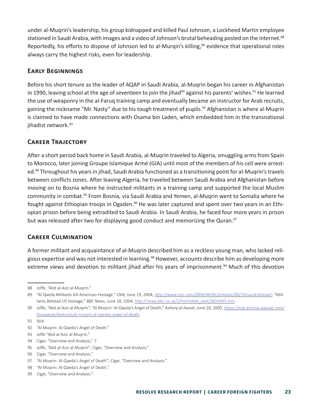under al-Muqrin's leadership, his group kidnapped and killed Paul Johnson, a Lockheed Martin employee stationed in Saudi Arabia, with images and a video of Johnson's brutal beheading posted on the internet.<sup>88</sup> Reportedly, his efforts to dispose of Johnson led to al-Murqin's killing,<sup>89</sup> evidence that operational roles always carry the highest risks, even for leadership.

#### **Early Beginnings**

Before his short tenure as the leader of AQAP in Saudi Arabia, al-Muqrin began his career in Afghanistan in 1990, leaving school at the age of seventeen to join the jihad<sup>90</sup> against his parents' wishes.<sup>91</sup> He learned the use of weaponry in the al-Faruq training camp and eventually became an instructor for Arab recruits, gaining the nickname "Mr. Nasty" due to his tough treatment of pupils.<sup>92</sup> Afghanistan is where al-Muqrin is claimed to have made connections with Osama bin Laden, which embedded him in the transnational jihadist network.<sup>93</sup>

#### **Career Trajectory**

After a short period back home in Saudi Arabia, al-Muqrin traveled to Algeria, smuggling arms from Spain to Morocco, later joining Groupe Islamique Armé (GIA) until most of the members of his cell were arrested.<sup>94</sup> Throughout his years in jihad, Saudi Arabia functioned as a transitioning point for al-Muqrin's travels between conflicts zones. After leaving Algeria, he traveled between Saudi Arabia and Afghanistan before moving on to Bosnia where he instructed militants in a training camp and supported the local Muslim community in combat.95 From Bosnia, via Saudi Arabia and Yemen, al-Muqrin went to Somalia where he fought against Ethiopian troops in Ogaden.<sup>96</sup> He was later captured and spent over two years in an Ethiopian prison before being extradited to Saudi Arabia. In Saudi Arabia, he faced four more years in prison but was released after two for displaying good conduct and memorizing the Quran.<sup>97</sup>

#### **Career Culmination**

A former militant and acquaintance of al-Muqrin described him as a reckless young man, who lacked religious expertise and was not interested in learning.<sup>98</sup> However, accounts describe him as developing more extreme views and devotion to militant jihad after his years of imprisonment.<sup>99</sup> Much of this devotion

<sup>88</sup> Joffe, "Abd al-Aziz al-Muqrin."

<sup>89</sup> "Al Qaeda Militants Kill American Hostage," *CNN,* June 19, 2004, [http://www.cnn.com/2004/WORLD/meast/06/18/saudi.kidnap/;](http://www.cnn.com/2004/WORLD/meast/06/18/saudi.kidnap/) "Militants Behead US Hostage," *BBC News*, June 18, 2004, [http://news.bbc.co.uk/2/hi/middle\\_east/3820495.stm](http://news.bbc.co.uk/2/hi/middle_east/3820495.stm).

<sup>90</sup> Joffe, "Abd al-Aziz al-Muqrin"; "Al Muqrin: Al-Qaeda's Angel of Death," *Asharq al-Awsat*, June 20, 2005, [https://eng-archive.aawsat.com/](https://eng-archive.aawsat.com/theaawsat/features/al-muqrin-al-qaedas-angel-of-death) [theaawsat/features/al-muqrin-al-qaedas-angel-of-death.](https://eng-archive.aawsat.com/theaawsat/features/al-muqrin-al-qaedas-angel-of-death)

<sup>91</sup> Ibid.

<sup>92</sup> "Al Muqrin: Al-Qaeda's Angel of Death."

<sup>93</sup> Joffe "Abd al-Aziz al-Muqrin."

<sup>94</sup> Cigar, "Overview and Analysis," 7.

<sup>95</sup> Joffe, "Abd al-Aziz al-Muqrin"; Cigar, "Overview and Analysis."

<sup>96</sup> Cigar, "Overview and Analysis."

<sup>97 &</sup>quot;Al Muqrin: Al-Qaeda's Angel of Death"; Cigar, "Overview and Analysis."

<sup>98</sup> "Al Muqrin: Al-Qaeda's Angel of Death."

<sup>99</sup> Cigar, "Overview and Analysis."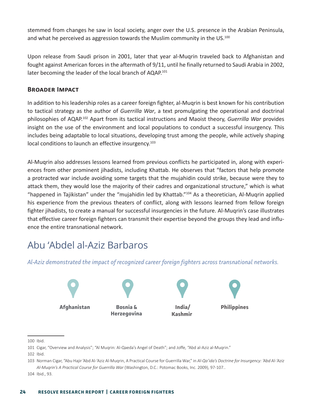stemmed from changes he saw in local society, anger over the U.S. presence in the Arabian Peninsula, and what he perceived as aggression towards the Muslim community in the US.<sup>100</sup>

Upon release from Saudi prison in 2001, later that year al-Muqrin traveled back to Afghanistan and fought against American forces in the aftermath of 9/11, until he finally returned to Saudi Arabia in 2002, later becoming the leader of the local branch of AQAP.<sup>101</sup>

#### **Broader Impact**

In addition to his leadership roles as a career foreign fighter, al-Muqrin is best known for his contribution to tactical strategy as the author of *Guerrilla War*, a text promulgating the operational and doctrinal philosophies of AQAP.102 Apart from its tactical instructions and Maoist theory, *Guerrilla War* provides insight on the use of the environment and local populations to conduct a successful insurgency. This includes being adaptable to local situations, developing trust among the people, while actively shaping local conditions to launch an effective insurgency.<sup>103</sup>

Al-Muqrin also addresses lessons learned from previous conflicts he participated in, along with experiences from other prominent jihadists, including Khattab. He observes that "factors that help promote a protracted war include avoiding some targets that the mujahidin could strike, because were they to attack them, they would lose the majority of their cadres and organizational structure," which is what "happened in Tajikistan" under the "mujahidin led by Khattab."104 As a theoretician, Al-Muqrin applied his experience from the previous theaters of conflict, along with lessons learned from fellow foreign fighter jihadists, to create a manual for successful insurgencies in the future. Al-Muqrin's case illustrates that effective career foreign fighters can transmit their expertise beyond the groups they lead and influence the entire transnational network.

### Abu 'Abdel al-Aziz Barbaros

*Al-Aziz demonstrated the impact of recognized career foreign fighters across transnational networks.*



<sup>100</sup> Ibid.

<sup>101</sup> Cigar, "Overview and Analysis"; "Al Muqrin: Al-Qaeda's Angel of Death"; and Joffe, "Abd al-Aziz al-Muqrin."

<sup>102</sup> Ibid.

<sup>103</sup> Norman Cigar, "Abu Hajir 'Abd Al-'Aziz Al-Muqrin, A Practical Course for Guerrilla War," in *Al-Qa'ida's Doctrine for Insurgency: 'Abd Al-'Aziz Al-Muqrin's A Practical Course for Guerrilla War* (Washington, D.C.: Potomac Books, Inc. 2009), 97-107..

<sup>104</sup> Ibid., 93.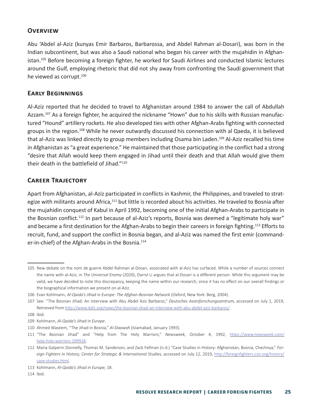#### **Overview**

Abu 'Abdel al-Aziz (kunyas Emir Barbaros, Barbarossa, and Abdel Rahman al-Dosari), was born in the Indian subcontinent, but was also a Saudi national who began his career with the mujahidin in Afghanistan.105 Before becoming a foreign fighter, he worked for Saudi Airlines and conducted Islamic lectures around the Gulf, employing rhetoric that did not shy away from confronting the Saudi government that he viewed as corrupt.<sup>106</sup>

#### **Early Beginnings**

Al-Aziz reported that he decided to travel to Afghanistan around 1984 to answer the call of Abdullah Azzam.<sup>107</sup> As a foreign fighter, he acquired the nickname "Hown" due to his skills with Russian manufactured "Hound" artillery rockets. He also developed ties with other Afghan-Arabs fighting with connected groups in the region.108 While he never outwardly discussed his connection with al Qaeda, it is believed that al-Aziz was linked directly to group members including Osama bin Laden.<sup>109</sup> Al-Aziz recalled his time in Afghanistan as "a great experience." He maintained that those participating in the conflict had a strong "desire that Allah would keep them engaged in Jihad until their death and that Allah would give them their death in the battlefield of Jihad."110

#### **Career Trajectory**

Apart from Afghanistan, al-Aziz participated in conflicts in Kashmir, the Philippines, and traveled to strategize with militants around Africa,<sup>111</sup> but little is recorded about his activities. He traveled to Bosnia after the mujahidin conquest of Kabul in April 1992, becoming one of the initial Afghan-Arabs to participate in the Bosnian conflict.<sup>112</sup> In part because of al-Aziz's reports, Bosnia was deemed a "legitimate holy war" and became a first destination for the Afghan-Arabs to begin their careers in foreign fighting.<sup>113</sup> Efforts to recruit, fund, and support the conflict in Bosnia began, and al-Aziz was named the first emir (commander-in-chief) of the Afghan-Arabs in the Bosnia.<sup>114</sup>

108 Ibid.

<sup>105</sup> New debate on the nom de guerre Abdel Rahman al-Dosari, associated with al-Aziz has surfaced. While a number of sources connect the name with al-Aziz, in *The Universal Enemy* (2020), Darryl Li argues that al-Dosari is a different person. While this argument may be valid, we have decided to note this discrepancy, keeping the name within our research, since it has no effect on our overall findings or the biographical information we present on al-Aziz.

<sup>106</sup> Evan Kohlmann, *Al-Qaida's Jihad in Europe: The Afghan-Bosnian Network* (Oxford, New York: Berg, 2004).

<sup>107</sup> See: "The Bosnian Jihad: An interview with Abu Abdel Aziz Barbaros," *Deutsches Asienforschungszentrum,* accessed on July 1, 2019, Retrieved from [http://www.dafz.org/news/the-bosnian-jihad-an-interview-with-abu-abdel-aziz-barbaros/.](http://www.dafz.org/news/the-bosnian-jihad-an-interview-with-abu-abdel-aziz-barbaros/)

<sup>109</sup> Kohlmann, *Al-Qaida's Jihad in Europe*.

<sup>110</sup> Ahmed Waseem, "The Jihad in Bosnia," *Al-Daawah* (Islamabad, January 1993).

<sup>111</sup> "The Bosnian Jihad" and "Help from The Holy Warriors," *Newsweek*, October 4, 1992, [https://www.newsweek.com/](https://www.newsweek.com/help-holy-warriors-199918) [help-holy-warriors-199918](https://www.newsweek.com/help-holy-warriors-199918).

<sup>112</sup> Maria Galperin Donnelly, Thomas M. Sanderson, and Zack Fellman (n.d.) "Case Studies in History: Afghanistan, Bosnia, Chechnya," *Foreign Fighters in History, Center for Strategic & International Studies,* accessed on July 12, 2019, [http://foreignfighters.csis.org/history/](http://foreignfighters.csis.org/history/case-studies.html) [case-studies.html](http://foreignfighters.csis.org/history/case-studies.html).

<sup>113</sup> Kohlmann, *Al-Qaida's Jihad in Europe,* 18.

<sup>114</sup> Ibid.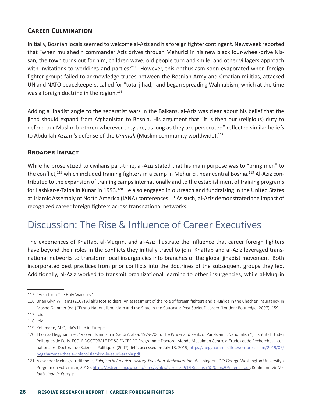#### **Career Culmination**

Initially, Bosnian locals seemed to welcome al-Aziz and his foreign fighter contingent. Newsweek reported that "when mujahedin commander Aziz drives through Mehurici in his new black four-wheel-drive Nissan, the town turns out for him, children wave, old people turn and smile, and other villagers approach with invitations to weddings and parties."<sup>115</sup> However, this enthusiasm soon evaporated when foreign fighter groups failed to acknowledge truces between the Bosnian Army and Croatian militias, attacked UN and NATO peacekeepers, called for "total jihad," and began spreading Wahhabism, which at the time was a foreign doctrine in the region.<sup>116</sup>

Adding a jihadist angle to the separatist wars in the Balkans, al-Aziz was clear about his belief that the jihad should expand from Afghanistan to Bosnia. His argument that "it is then our (religious) duty to defend our Muslim brethren wherever they are, as long as they are persecuted" reflected similar beliefs to Abdullah Azzam's defense of the *Ummah* (Muslim community worldwide).117

#### **Broader Impact**

While he proselytized to civilians part-time, al-Aziz stated that his main purpose was to "bring men" to the conflict,<sup>118</sup> which included training fighters in a camp in Mehurici, near central Bosnia.<sup>119</sup> Al-Aziz contributed to the expansion of training camps internationally and to the establishment of training programs for Lashkar-e-Taiba in Kunar in 1993.<sup>120</sup> He also engaged in outreach and fundraising in the United States at Islamic Assembly of North America (IANA) conferences.<sup>121</sup> As such, al-Aziz demonstrated the impact of recognized career foreign fighters across transnational networks.

### Discussion: The Rise & Influence of Career Executives

The experiences of Khattab, al-Muqrin, and al-Aziz illustrate the influence that career foreign fighters have beyond their roles in the conflicts they initially travel to join. Khattab and al-Aziz leveraged transnational networks to transform local insurgencies into branches of the global jihadist movement. Both incorporated best practices from prior conflicts into the doctrines of the subsequent groups they led. Additionally, al-Aziz worked to transmit organizational learning to other insurgencies, while al-Muqrin

<sup>115</sup> "Help from The Holy Warriors."

<sup>116</sup> Brian Glyn Williams (2007) Allah's foot soldiers: An assessment of the role of foreign fighters and al-Qa'ida in the Chechen insurgency, in Moshe Gammer (ed.) "Ethno-Nationalism, Islam and the State in the Caucasus: Post-Soviet Disorder (London: Routledge, 2007), 159.

<sup>117</sup> Ibid.

<sup>118</sup> Ibid.

<sup>119</sup> Kohlmann, Al-Qaida's Jihad in Europe.

<sup>120</sup> Thomas Hegghammer, "Violent Islamism in Saudi Arabia, 1979-2006: The Power and Perils of Pan-Islamic Nationalism"; Institut dʹEtudes Politiques de Paris, ECOLE DOCTORALE DE SCIENCES PO Programme Doctoral Monde Musulman Centre d'Etudes et de Recherches Internationales, Doctorat de Sciences Politiques (2007), 642, accessed on July 18, 2019, [https://hegghammer.files.wordpress.com/2019/07/](https://hegghammer.files.wordpress.com/2019/07/hegghammer-thesis-violent-islamism-in-saudi-arabia.pdf) [hegghammer-thesis-violent-islamism-in-saudi-arabia.pdf.](https://hegghammer.files.wordpress.com/2019/07/hegghammer-thesis-violent-islamism-in-saudi-arabia.pdf)

<sup>121</sup> Alexander Meleagrou-Hitchens, *Salafism in America: History, Evolution, Radicalization* (Washington, DC: George Washington University's Program on Extremism, 2018), [https://extremism.gwu.edu/sites/g/files/zaxdzs2191/f/Salafism%20in%20America.pdf;](https://extremism.gwu.edu/sites/g/files/zaxdzs2191/f/Salafism%20in%20America.pdf) Kohlmann, *Al-Qaida's Jihad in Europe*.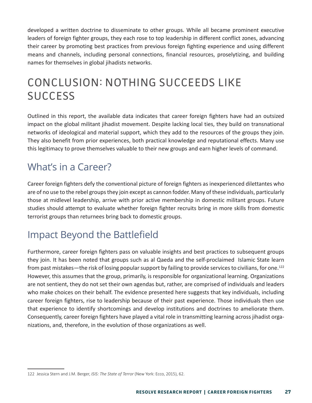developed a written doctrine to disseminate to other groups. While all became prominent executive leaders of foreign fighter groups, they each rose to top leadership in different conflict zones, advancing their career by promoting best practices from previous foreign fighting experience and using different means and channels, including personal connections, financial resources, proselytizing, and building names for themselves in global jihadists networks.

## CONCLUSION: NOTHING SUCCEEDS LIKE **SUCCESS**

Outlined in this report, the available data indicates that career foreign fighters have had an outsized impact on the global militant jihadist movement. Despite lacking local ties, they build on transnational networks of ideological and material support, which they add to the resources of the groups they join. They also benefit from prior experiences, both practical knowledge and reputational effects. Many use this legitimacy to prove themselves valuable to their new groups and earn higher levels of command.

### What's in a Career?

Career foreign fighters defy the conventional picture of foreign fighters as inexperienced dilettantes who are of no use to the rebel groups they join except as cannon fodder. Many of these individuals, particularly those at midlevel leadership, arrive with prior active membership in domestic militant groups. Future studies should attempt to evaluate whether foreign fighter recruits bring in more skills from domestic terrorist groups than returnees bring back to domestic groups.

### Impact Beyond the Battlefield

Furthermore, career foreign fighters pass on valuable insights and best practices to subsequent groups they join. It has been noted that groups such as al Qaeda and the self-proclaimed Islamic State learn from past mistakes—the risk of losing popular support by failing to provide services to civilians, for one.<sup>122</sup> However, this assumes that the group, primarily, is responsible for organizational learning. Organizations are not sentient, they do not set their own agendas but, rather, are comprised of individuals and leaders who make choices on their behalf. The evidence presented here suggests that key individuals, including career foreign fighters, rise to leadership because of their past experience. Those individuals then use that experience to identify shortcomings and develop institutions and doctrines to ameliorate them. Consequently, career foreign fighters have played a vital role in transmitting learning across jihadist organizations, and, therefore, in the evolution of those organizations as well.

<sup>122</sup> Jessica Stern and J.M. Berger, *ISIS: The State of Terror* (New York: Ecco, 2015), 62.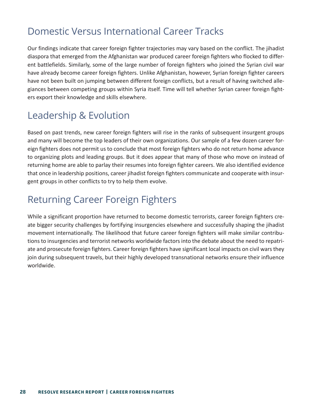### Domestic Versus International Career Tracks

Our findings indicate that career foreign fighter trajectories may vary based on the conflict. The jihadist diaspora that emerged from the Afghanistan war produced career foreign fighters who flocked to different battlefields. Similarly, some of the large number of foreign fighters who joined the Syrian civil war have already become career foreign fighters. Unlike Afghanistan, however, Syrian foreign fighter careers have not been built on jumping between different foreign conflicts, but a result of having switched allegiances between competing groups within Syria itself. Time will tell whether Syrian career foreign fighters export their knowledge and skills elsewhere.

### Leadership & Evolution

Based on past trends, new career foreign fighters will rise in the ranks of subsequent insurgent groups and many will become the top leaders of their own organizations. Our sample of a few dozen career foreign fighters does not permit us to conclude that most foreign fighters who do not return home advance to organizing plots and leading groups. But it does appear that many of those who move on instead of returning home are able to parlay their resumes into foreign fighter careers. We also identified evidence that once in leadership positions, career jihadist foreign fighters communicate and cooperate with insurgent groups in other conflicts to try to help them evolve.

### Returning Career Foreign Fighters

While a significant proportion have returned to become domestic terrorists, career foreign fighters create bigger security challenges by fortifying insurgencies elsewhere and successfully shaping the jihadist movement internationally. The likelihood that future career foreign fighters will make similar contributions to insurgencies and terrorist networks worldwide factors into the debate about the need to repatriate and prosecute foreign fighters. Career foreign fighters have significant local impacts on civil wars they join during subsequent travels, but their highly developed transnational networks ensure their influence worldwide.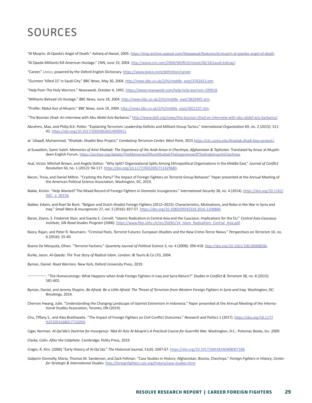### SOURCES

"Al Muqrin: Al-Qaeda's Angel of Death." *Asharq al-Awsat*, 2005.<https://eng-archive.aawsat.com/theaawsat/features/al-muqrin-al-qaedas-angel-of-death>.

"Al Qaeda Militants Kill American Hostage." *CNN,* June 19, 2004. <http://www.cnn.com/2004/WORLD/meast/06/18/saudi.kidnap/>.

"Career," *Lexico*, powered by the Oxford English Dictionary. [https://www.lexico.com/definition/career.](https://www.lexico.com/definition/career)

"Gunmen 'Killed 22' in Saudi City." *BBC News,* May 30, 2004. [http://news.bbc.co.uk/2/hi/middle\\_east/3762423.stm.](http://news.bbc.co.uk/2/hi/middle_east/3762423.stm)

"Help from The Holy Warriors." *Newsweek,* October 4, 1992. <https://www.newsweek.com/help-holy-warriors-199918>.

"Militants Behead US Hostage." *BBC News,* June 18, 2004. [http://news.bbc.co.uk/2/hi/middle\\_east/3820495.stm](http://news.bbc.co.uk/2/hi/middle_east/3820495.stm).

"Profile: Abdul Aziz al-Muqrin," *BBC News,* June 19, 2004. [http://news.bbc.co.uk/2/hi/middle\\_east/3821237.stm.](http://news.bbc.co.uk/2/hi/middle_east/3821237.stm)

- "The Bosnian Jihad: An interview with Abu Abdel Aziz Barbaros." [http://www.dafz.org/news/the-bosnian-jihad-an-interview-with-abu-abdel-aziz-barbaros/.](http://www.dafz.org/news/the-bosnian-jihad-an-interview-with-abu-abdel-aziz-barbaros/)
- Abrahms, Max, and Philip B.K. Potter. "Explaining Terrorism: Leadership Deficits and Militant Group Tactics." *International Organization* 69, no. 2 (2015): 311- 42. [https://doi.org/10.1017/S0020818314000411.](https://doi.org/10.1017/S0020818314000411)
- al-`Ubaydi, Muhammad. "Khattab: Jihadist Bios Project," *Combating Terrorism Center, West Point*, 2015[.https://ctc.usma.edu/khattab-jihadi-bios-project/.](https://ctc.usma.edu/khattab-jihadi-bios-project/)
- al-Suwailem, Samir Saleh. Memories of Amir Khattab: The Experience of the Arab Ansar in Chechnya, Afghanistan & Tajikistan. Translated by Ansar al-Mujahideen English Forum. [https://archive.org/details/TheMemoriesOfAmirKhattabTheExperienceOfTheArabAnsarInChechnya.](https://archive.org/details/TheMemoriesOfAmirKhattabTheExperienceOfTheArabAnsarInChechnya)
- Asal, Victor, Mitchell Brown, and Angela Dalton. "Why Split? Organizational Splits Among Ethnopolitical Organizations in the Middle East." *Journal of Conflict Resolution* 56, no. 1 (2012): 94-117. [https://doi.org/10.1177/0022002711429680.](https://doi.org/10.1177/0022002711429680)
- Bacon, Tricia, and Daniel Milton. "Crashing the Party? The Impact of Foreign Fighters on Terrorist Group Behavior." Paper presented at the Annual Meeting of the American Political Science Association, Washington, DC, 2019.
- Bakke, Kristin. "Help Wanted? The Mixed Record of Foreign Fighters in Domestic Insurgencies." *International Security* 38, no. 4 (2014). [https://doi.org/10.1162/](https://doi.org/10.1162/ISEC_a_00156) [ISEC\\_a\\_00156.](https://doi.org/10.1162/ISEC_a_00156)
- Bakker, Edwin, and Roel De Bont. "Belgian and Dutch Jihadist Foreign Fighters (2012–2015): Characteristics, Motivations, and Roles in the War in Syria and Iraq." *Small Wars & Insurgencies* 27, vol. 5 (2016): 837-57. [https://doi.org/10.1080/09592318.2016.1209806.](https://doi.org/10.1080/09592318.2016.1209806)
- Baran, Zeyno, S. Frederick Starr, and Svante E. Cornell. "Islamic Radicalism in Central Asia and the Caucasus: Implications for the EU." *Central Asia-Caucasus Institute, Silk Road Studies Program* (2006). [https://www.files.ethz.ch/isn/30281/14\\_Islam\\_Radicalisim\\_Central\\_Asia.pdf](https://www.files.ethz.ch/isn/30281/14_Islam_Radicalisim_Central_Asia.pdf).
- Basra, Rajan, and Peter R. Neumann. "Criminal Pasts, Terrorist Futures: European Jihadists and the New Crime-Terror Nexus." *Perspectives on Terrorism* 10, no. 6 (2016): 25-40.
- Bueno De Mesquita, Ethan. "Terrorist Factions." *Quarterly Journal of Political Science* 3, no. 4 (2008): 399-418. [http://doi.org/10.1561/100.00008006.](http://doi.org/10.1561/100.00008006)

Burke, Jason. *Al-Qaeda: The True Story of Radical Islam*. London: IB Tauris & Co LTD, 2004.

Byman, Daniel. *Road Warriors.* New York, Oxford University Press, 2019.

- ———. "The Homecomings: What Happens when Arab Foreign Fighters in Iraq and Syria Return?" *Studies in Conflict & Terrorism* 38, no. 8 (2015): 581-602.
- Byman, Daniel, and Jeremy Shapiro. *Be Afraid. Be a Little Afraid: The Threat of Terrorism from Western Foreign Fighters in Syria and Iraq*. Washington, DC: Brookings, 2014.
- Chernov Hwang, Julie. "Understanding the Changing Landscape of Islamist Extremism in Indonesia." Paper presented at the Annual Meeting of the International Studies Association, Toronto, ON (2019).
- Chu, Tiffany S., and Alex Braithwaite. "The Impact of Foreign Fighters on Civil Conflict Outcomes." *Research and Politics* 1 (2017). [https://doi.org/10.1177](https://doi.org/10.1177%2F2053168017722059) [%2F2053168017722059.](https://doi.org/10.1177%2F2053168017722059)

Cigar, Norman. *Al-Qa'ida's Doctrine for Insurgency: 'Abd Al-'Aziz Al-Muqrin's A Practical Course for Guerrilla War.* Washington, D.C.: Potomac Books, Inc. 2009.

Clarke, Colin. *After the Caliphate.* Cambridge: Polity Press, 2019.

Cragin, R. Kim. (2006) "Early History of Al-Qa'ida." *The Historical Journal*, 51(4): 1047-67.<https://doi.org/10.1017/S0018246X08007188>.

Galperin Donnelly, Maria, Thomas M. Sanderson, and Zack Fellman. "Case Studies in History: Afghanistan, Bosnia, Chechnya." *Foreign Fighters in History*, *Center for Strategic & International Studies*. <http://foreignfighters.csis.org/history/case-studies.html>.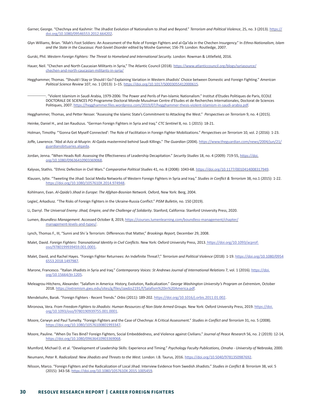- Garner, George. "Chechnya and Kashmir: The Jihadist Evolution of Nationalism to Jihad and Beyond." *Terrorism and Political Violence*, 25, no. 3 (2013). [https://](https://doi.org/10.1080/09546553.2012.664202) [doi.org/10.1080/09546553.2012.664202.](https://doi.org/10.1080/09546553.2012.664202)
- Glyn Williams, Brian. "Allah's Foot Soldiers: An Assessment of the Role of Foreign Fighters and al-Qa'ida in the Chechen Insurgency." In *Ethno-Nationalism, Islam and the State in the Caucasus: Post-Soviet Disorder* edited by Moshe Gammer, 156-79. London: Routledge, 2007.

Gurski, Phil. *Western Foreign Fighters: The Threat to Homeland and International Security*. London: Rowman & Littlefield, 2016.

- Hauer, Neil. "Chechen and North Caucasian Militants in Syria," The Atlantic Council (2018). [https://www.atlanticcouncil.org/blogs/syriasource/](https://www.atlanticcouncil.org/blogs/syriasource/chechen-and-north-caucasian-militants-in-syria/) [chechen-and-north-caucasian-militants-in-syria/](https://www.atlanticcouncil.org/blogs/syriasource/chechen-and-north-caucasian-militants-in-syria/)
- Hegghammer, Thomas. "Should I Stay or Should I Go? Explaining Variation in Western Jihadists' Choice between Domestic and Foreign Fighting." *American Political Science Review* 107, no. 1 (2013): 1–15. [https://doi.org/10.1017/S0003055412000615.](https://doi.org/10.1017/S0003055412000615)

———. "Violent Islamism in Saudi Arabia, 1979-2006: The Power and Perils of Pan-Islamic Nationalism." Institut dʹEtudes Politiques de Paris, ECOLE DOCTORALE DE SCIENCES PO Programme Doctoral Monde Musulman Centre d'Etudes et de Recherches Internationales, Doctorat de Sciences Politiques, 2007. [https://hegghammer.files.wordpress.com/2019/07/hegghammer-thesis-violent-islamism-in-saudi-arabia.pdf.](https://hegghammer.files.wordpress.com/2019/07/hegghammer-thesis-violent-islamism-in-saudi-arabia.pdf)

Hegghammer, Thomas, and Petter Nesser. "Assessing the Islamic State's Commitment to Attacking the West." *Perspectives on Terrorism* 9, no. 4 (2015).

Heinke, Daniel H., and Jan Raudszus. "German Foreign Fighters in Syria and Iraq." *CTC Sentinel* 8, no. 1 (2015): 18-21.

Holman, Timothy. "'Gonna Get Myself Connected': The Role of Facilitation in Foreign Fighter Mobilizations." *Perspectives on Terrorism* 10, vol. 2 (2016): 1-23.

- Joffe, Lawrence. "Abd al-Aziz al-Muqrin: Al-Qaida mastermind behind Saudi Killings." *The Guardian* (2004). [https://www.theguardian.com/news/2004/jun/21/](https://www.theguardian.com/news/2004/jun/21/guardianobituaries.alqaida) [guardianobituaries.alqaida.](https://www.theguardian.com/news/2004/jun/21/guardianobituaries.alqaida)
- Jordan, Jenna. "When Heads Roll: Assessing the Effectiveness of Leadership Decapitation." *Security Studies* 18, no. 4 (2009): 719-55, [https://doi.](https://doi.org/10.1080/09636410903369068) [org/10.1080/09636410903369068](https://doi.org/10.1080/09636410903369068).

Kalyvas, Stathis. "Ethnic Defection in Civil Wars." *Comparative Political Studies* 41, no. 8 (2008): 1043-68. <https://doi.org/10.1177/0010414008317949>.

Klausen, Jytte. "Tweeting the Jihad: Social Media Networks of Western Foreign Fighters in Syria and Iraq." *Studies in Conflict & Terrorism* 38, no.1 (2015): 1-22. <https://doi.org/10.1080/1057610X.2014.974948>.

Kohlmann, Evan. *Al-Qaida's Jihad in Europe: The Afghan-Bosnian Network.* Oxford, New York: Berg, 2004.

Legieć, Arkadiusz. "The Risks of Foreign Fighters in the Ukraine-Russia Conflict." *PISM Bulletin,* no. 150 (2019).

Li, Darryl. *The Universal Enemy: Jihad, Empire, and the Challenge of Solidarity*. Stanford, California: Stanford University Press, 2020.

- Lumen, *Boundless Management*. Accessed October 8, 2019, [https://courses.lumenlearning.com/boundless-management/chapter/](https://courses.lumenlearning.com/boundless-management/chapter/management-levels-and-types/) [management-levels-and-types/](https://courses.lumenlearning.com/boundless-management/chapter/management-levels-and-types/).
- Lynch, Thomas F., III, "Sunni and Shi 'a Terrorism: Differences that Matter," *Brookings Report,* December 29, 2008.
- Malet, David. *Foreign Fighters: Transnational Identity in Civil Conflicts*. New York: Oxford University Press, 2013. [https://doi.org/10.1093/acprof:]( https://doi.org/10.1093/acprof:oso/9780199939459.001.0001) [oso/9780199939459.001.0001.]( https://doi.org/10.1093/acprof:oso/9780199939459.001.0001)
- Malet, David, and Rachel Hayes. "Foreign Fighter Returnees: An Indefinite Threat?," *Terrorism and Political Violence* (2018): 1-19. [https://doi.org/10.1080/0954](https://doi.org/10.1080/09546553.2018.1497987) [6553.2018.1497987](https://doi.org/10.1080/09546553.2018.1497987).
- Marone, Francesco. "Italian Jihadists in Syria and Iraq." *Contemporary Voices: St Andrews Journal of International Relations* 7, vol. 1 (2016). [https://doi.](https://doi.org/10.15664/jtr.1205) [org/10.15664/jtr.1205.](https://doi.org/10.15664/jtr.1205)
- Meleagrou-Hitchens, Alexander. "Salafism in America: History, Evolution, Radicalization." *George Washington University's Program on Extremism*, October 2018. [https://extremism.gwu.edu/sites/g/files/zaxdzs2191/f/Salafism%20in%20America.pdf.](https://extremism.gwu.edu/sites/g/files/zaxdzs2191/f/Salafism%20in%20America.pdf)
- Mendelsohn, Barak. "Foreign Fighters Recent Trends." *Orbis* (2011): 189-202. <https://doi.org/10.1016/j.orbis.2011.01.002>.
- Mironova, Vera. From Freedom Fighters to Jihadists: Human Resources of Non-State Armed Groups. New York: Oxford University Press, 2019. [https://doi.](https://doi.org/10.1093/oso/9780190939755.001.0001) [org/10.1093/oso/9780190939755.001.0001](https://doi.org/10.1093/oso/9780190939755.001.0001).
- Moore, Cerwyn and Paul Tumelty. "Foreign Fighters and the Case of Chechnya: A Critical Assessment." *Studies in Conflict and Terrorism* 31, no. 5 (2008). <https://doi.org/10.1080/10576100801993347>.
- Moore, Pauline. "When Do Ties Bind? Foreign Fighters, Social Embeddedness, and Violence against Civilians." *Journal of Peace Research* 56, no. 2 (2019): 12-14, <https://doi.org/10.1080/09636410903369068>.

Mumford, Michael D. et al. "Development of Leadership Skills: Experience and Timing." *Psychology Faculty Publications, Omaha - University of Nebraska,* 2000.

Neumann, Peter R. *Radicalized: New Jihadists and Threats to the West.* London: I.B. Taurus, 2016. <https://doi.org/10.5040/9781350987692>.

Nilsson, Marco. "Foreign Fighters and the Radicalization of Local Jihad: Interview Evidence from Swedish Jihadists." *Studies in Conflict & Terrorism* 38, vol. 5 (2015): 343-58. [https://doi.org/10.1080/1057610X.2015.1005459.](https://doi.org/10.1080/1057610X.2015.1005459)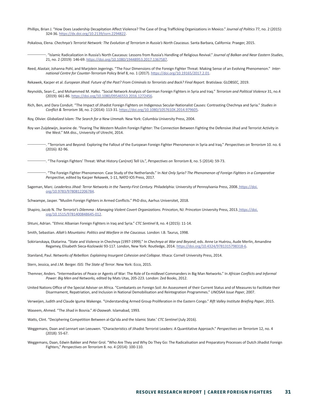Phillips, Brian J. "How Does Leadership Decapitation Affect Violence? The Case of Drug Trafficking Organizations in Mexico." *Journal of Politics* 77, no. 2 (2015): 324-36. [https://dx.doi.org/10.2139/ssrn.2294822.](https://dx.doi.org/10.2139/ssrn.2294822)

Pokalova, Elena. Chechnya's Terrorist Network: The Evolution of Terrorism in Russia's North Caucasus. Santa Barbara, California: Praeger, 2015.

- ———. "Islamic Radicalization in Russia's North Caucasus: Lessons from Russia's Handling of Religious Revival." *Journal of Balkan and Near Eastern Studies*, 21, no. 2 (2019): 146-69. [https://doi.org/10.1080/19448953.2017.1367587.](https://doi.org/10.1080/19448953.2017.1367587)
- Reed, Alastair, Johanna Pohl, and Marjolein Jegerings. "The Four Dimensions of the Foreign Fighter Threat: Making Sense of an Evolving Phenomenon." *International Centre for Counter-Terrorism* Policy Brief 8, no. 1 (2017). [https://doi.org/10.19165/2017.2.01.](https://doi.org/10.19165/2017.2.01)

Rekawek, Kacper et al. *European Jihad: Future of the Past? From Criminals to Terrorists and Back? Final Report.* Bratislava: GLOBSEC, 2019.

- Reynolds, Sean C., and Mohammed M. Hafez. "Social Network Analysis of German Foreign Fighters in Syria and Iraq." *Terrorism and Political Violence* 31, no.4 (2019): 661-86. [https://doi.org/10.1080/09546553.2016.1272456.](https://doi.org/10.1080/09546553.2016.1272456)
- Rich, Ben, and Dara Conduit. "The Impact of Jihadist Foreign Fighters on Indigenous Secular-Nationalist Causes: Contrasting Chechnya and Syria." *Studies in Conflict & Terrorism* 38, no. 2 (2014): 113-31. <https://doi.org/10.1080/1057610X.2014.979605>.

Roy, Olivier. *Globalized Islam: The Search for a New Ummah.* New York: Columbia University Press, 2004.

- Roy van Zuijdewijn, Jeanine de. "Fearing The Western Muslim Foreign Fighter: The Connection Between Fighting the Defensive Jihad and Terrorist Activity in the West." MA diss., University of Utrecht, 2014.
	- ———. "Terrorism and Beyond: Exploring the Fallout of the European Foreign Fighter Phenomenon in Syria and Iraq." *Perspectives on Terrorism* 10. no. 6 (2016): 82-96.

———. "The Foreign Fighters' Threat: What History Can(not) Tell Us.", *Perspectives on Terrorism* 8, no. 5 (2014): 59-73.

- ———. "The Foreign Fighter Phenomenon: Case Study of the Netherlands." In *Not Only Syria? The Phenomenon of Foreign Fighters in a Comparative Perspective*, edited by Kacper Rekawek, 1-11, NATO IOS Press, 2017.
- Sageman, Marc. Leaderless Jihad: Terror Networks in the Twenty-First Century. Philadelphia: University of Pennsylvania Press, 2008. [https://doi.]( https://doi.org/10.9783/9780812206784) [org/10.9783/9780812206784]( https://doi.org/10.9783/9780812206784).

Schwampe, Jasper. "Muslim Foreign Fighters in Armed Conflicts." PhD diss, Aarhus Universitet, 2018.

- Shapiro, Jacob N. The Terrorist's Dilemma : Managing Violent Covert Organizations. Princeton, NJ: Princeton University Press, 2013. [https://doi.]( https://doi.org/10.1515/9781400848645-012) [org/10.1515/9781400848645-012]( https://doi.org/10.1515/9781400848645-012).
- Shtuni, Adrian. "Ethnic Albanian Foreign Fighters in Iraq and Syria." *CTC Sentinel* 8, no. 4 (2015): 11-14.
- Smith, Sebastian. *Allah's Mountains: Politics and Warfare in the Caucasus.* London: I.B. Taurus, 1998.
- Sokirianskaya, Ekatarina. "State and Violence in Chechnya (1997-1999)." In *Chechnya at War and Beyond*, eds. Anne Le Huérou, Aude Merlin, Amandine Regamey, Elisabeth Sieca-Kozlowski 93-117. London, New York: Routledge, 2014. <https://doi.org/10.4324/9781315798318-6>.

Staniland, Paul. *Networks of Rebellion: Explaining Insurgent Cohesion and Collapse.* Ithaca: Cornell University Press, 2014.

Stern, Jessica, and J.M. Berger. *ISIS: The State of Terror*. New York: Ecco, 2015.

- Themner, Anders. "Intermediaries of Peace or Agents of War: The Role of Ex-midlevel Commanders in Big Man Networks." In *African Conflicts and Informal Power: Big Men and Networks,* edited by Mats Utas, 205-223. London: Zed Books, 2012.
- United Nations Office of the Special Adviser on Africa. "Combatants on Foreign Soil: An Assessment of their Current Status and of Measures to Facilitate their Disarmament, Repatriation, and Inclusion in National Demobilisation and Reintegration Programmes." *UNOSAA Issue Paper*, 2007.
- Verweijen, Judith and Claude Iguma Wakenge. "Understanding Armed Group Proliferation in the Eastern Congo." *Rift Valley Institute Briefing Paper*, 2015.

Waseem, Ahmed. "The Jihad in Bosnia." *Al-Daawah*. Islamabad, 1993.

- Watts, Clint. "Deciphering Competition Between al-Qa'ida and the Islamic State.' *CTC Sentinel* (July 2016).
- Weggemans, Daan and Lennart van Leeuwen. "Characteristics of Jihadist Terrorist Leaders: A Quantitative Approach." *Perspectives on Terrorism* 12, no. 4 (2018): 55-67.
- Weggemans, Daan, Edwin Bakker and Peter Grol. "Who Are They and Why Do They Go: The Radicalisation and Preparatory Processes of Dutch Jihadist Foreign Fighters," *Perspectives on Terrorism* 8. no. 4 (2014): 100-110.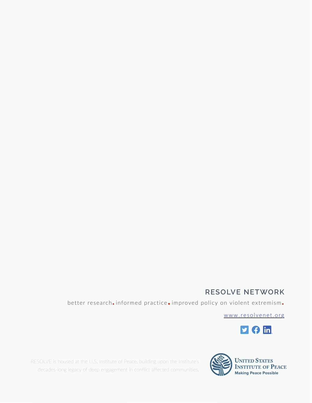#### **RESOLVE NETWORK**

better research**.**informed practice**.**improved policy on violent extremism**.**

[www.resolvenet.org](http://resolvenet.org)



RESOLVE is housed at the U.S. Institute of Peace, building upon the Institute's SOLVE is housed at the U.S. Institute of Peace, building upon the Institute's **MAN UNITED STATES**<br>decades-long legacy of deep engagement in conflict affected communities.<br>Making Peace Possible